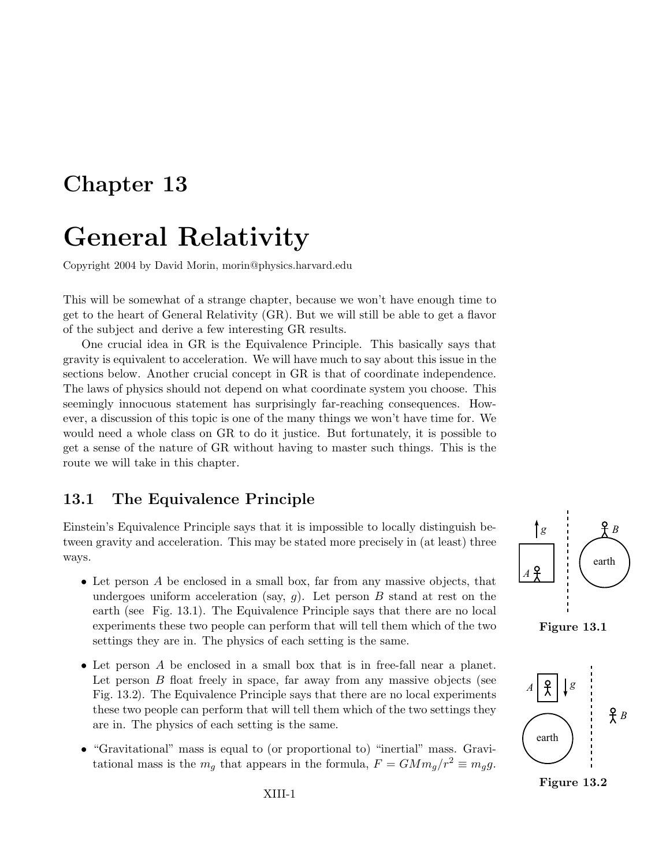# Chapter 13

# General Relativity

Copyright 2004 by David Morin, morin@physics.harvard.edu

This will be somewhat of a strange chapter, because we won't have enough time to get to the heart of General Relativity (GR). But we will still be able to get a flavor of the subject and derive a few interesting GR results.

One crucial idea in GR is the Equivalence Principle. This basically says that gravity is equivalent to acceleration. We will have much to say about this issue in the sections below. Another crucial concept in GR is that of coordinate independence. The laws of physics should not depend on what coordinate system you choose. This seemingly innocuous statement has surprisingly far-reaching consequences. However, a discussion of this topic is one of the many things we won't have time for. We would need a whole class on GR to do it justice. But fortunately, it is possible to get a sense of the nature of GR without having to master such things. This is the route we will take in this chapter.

### 13.1 The Equivalence Principle

Einstein's Equivalence Principle says that it is impossible to locally distinguish between gravity and acceleration. This may be stated more precisely in (at least) three ways.

- Let person A be enclosed in a small box, far from any massive objects, that undergoes uniform acceleration (say,  $g$ ). Let person  $B$  stand at rest on the earth (see Fig. 13.1). The Equivalence Principle says that there are no local experiments these two people can perform that will tell them which of the two Figure 13.1 settings they are in. The physics of each setting is the same.
- Let person A be enclosed in a small box that is in free-fall near a planet. Let person  $B$  float freely in space, far away from any massive objects (see Fig. 13.2). The Equivalence Principle says that there are no local experiments these two people can perform that will tell them which of the two settings they are in. The physics of each setting is the same.
- "Gravitational" mass is equal to (or proportional to) "inertial" mass. Gravitational mass is the  $m_q$  that appears in the formula,  $F = GMm_q/r^2 \equiv m_q g$ .



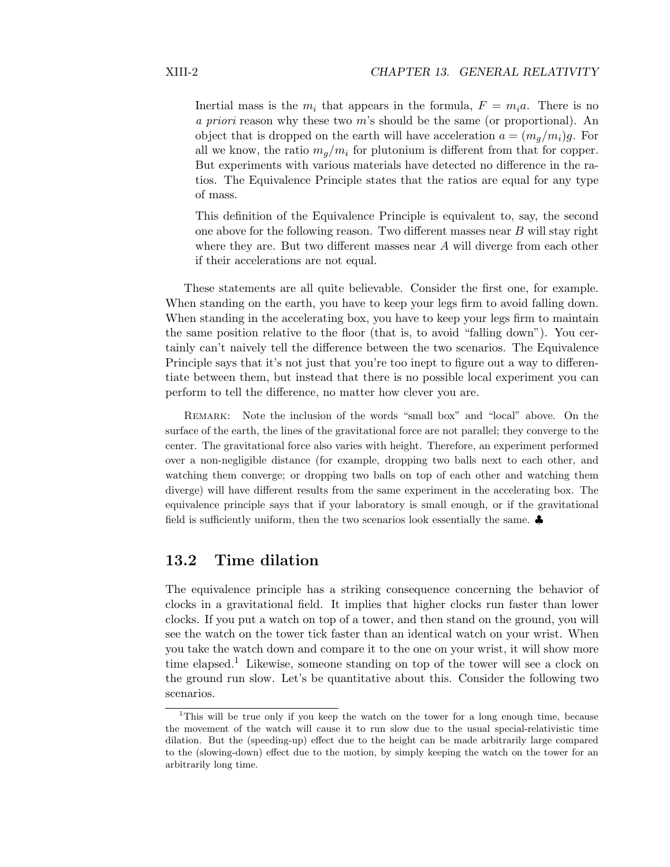Inertial mass is the  $m_i$  that appears in the formula,  $F = m_i a$ . There is no a priori reason why these two m's should be the same (or proportional). An object that is dropped on the earth will have acceleration  $a = (m_q/m_i)g$ . For all we know, the ratio  $m_q/m_i$  for plutonium is different from that for copper. But experiments with various materials have detected no difference in the ratios. The Equivalence Principle states that the ratios are equal for any type of mass.

This definition of the Equivalence Principle is equivalent to, say, the second one above for the following reason. Two different masses near  $B$  will stay right where they are. But two different masses near A will diverge from each other if their accelerations are not equal.

These statements are all quite believable. Consider the first one, for example. When standing on the earth, you have to keep your legs firm to avoid falling down. When standing in the accelerating box, you have to keep your legs firm to maintain the same position relative to the floor (that is, to avoid "falling down"). You certainly can't naively tell the difference between the two scenarios. The Equivalence Principle says that it's not just that you're too inept to figure out a way to differentiate between them, but instead that there is no possible local experiment you can perform to tell the difference, no matter how clever you are.

REMARK: Note the inclusion of the words "small box" and "local" above. On the surface of the earth, the lines of the gravitational force are not parallel; they converge to the center. The gravitational force also varies with height. Therefore, an experiment performed over a non-negligible distance (for example, dropping two balls next to each other, and watching them converge; or dropping two balls on top of each other and watching them diverge) will have different results from the same experiment in the accelerating box. The equivalence principle says that if your laboratory is small enough, or if the gravitational field is sufficiently uniform, then the two scenarios look essentially the same. ♣

### 13.2 Time dilation

The equivalence principle has a striking consequence concerning the behavior of clocks in a gravitational field. It implies that higher clocks run faster than lower clocks. If you put a watch on top of a tower, and then stand on the ground, you will see the watch on the tower tick faster than an identical watch on your wrist. When you take the watch down and compare it to the one on your wrist, it will show more time elapsed.<sup>1</sup> Likewise, someone standing on top of the tower will see a clock on the ground run slow. Let's be quantitative about this. Consider the following two scenarios.

<sup>1</sup>This will be true only if you keep the watch on the tower for a long enough time, because the movement of the watch will cause it to run slow due to the usual special-relativistic time dilation. But the (speeding-up) effect due to the height can be made arbitrarily large compared to the (slowing-down) effect due to the motion, by simply keeping the watch on the tower for an arbitrarily long time.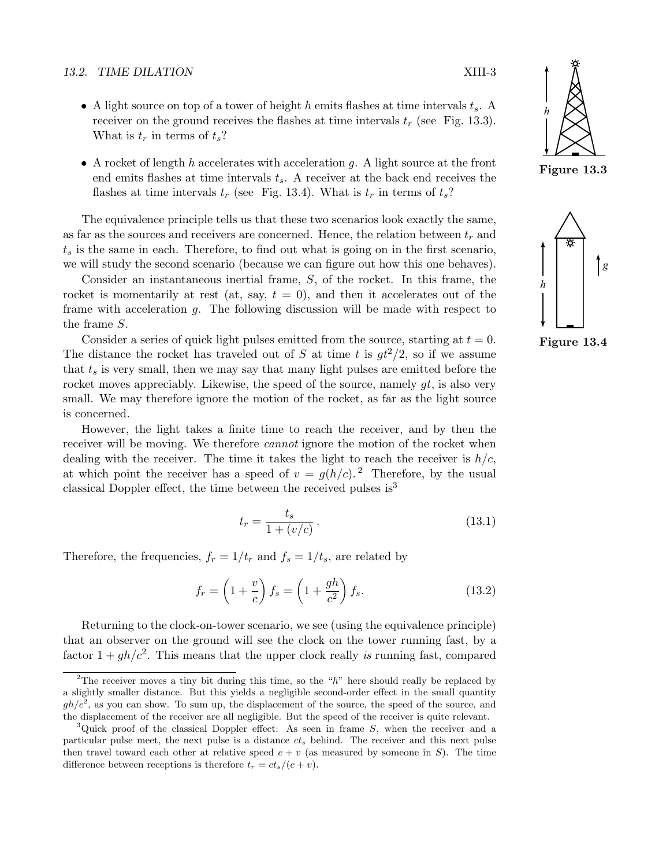#### 13.2. TIME DILATION XIII-3

- A light source on top of a tower of height h emits flashes at time intervals  $t_s$ . A receiver on the ground receives the flashes at time intervals  $t_r$  (see Fig. 13.3). What is  $t_r$  in terms of  $t_s$ ?
- A rocket of length h accelerates with acceleration g. A light source at the front end emits flashes at time intervals  $t_s$ . A receiver at the back end receives the flashes at time intervals  $t_r$  (see Fig. 13.4). What is  $t_r$  in terms of  $t_s$ ?

The equivalence principle tells us that these two scenarios look exactly the same, as far as the sources and receivers are concerned. Hence, the relation between  $t_r$  and  $t<sub>s</sub>$  is the same in each. Therefore, to find out what is going on in the first scenario, we will study the second scenario (because we can figure out how this one behaves).

Consider an instantaneous inertial frame, S, of the rocket. In this frame, the rocket is momentarily at rest (at, say,  $t = 0$ ), and then it accelerates out of the frame with acceleration g. The following discussion will be made with respect to the frame S.

Consider a series of quick light pulses emitted from the source, starting at  $t = 0$ . The distance the rocket has traveled out of S at time t is  $gt^2/2$ , so if we assume that  $t_s$  is very small, then we may say that many light pulses are emitted before the rocket moves appreciably. Likewise, the speed of the source, namely  $gt$ , is also very small. We may therefore ignore the motion of the rocket, as far as the light source is concerned.

However, the light takes a finite time to reach the receiver, and by then the receiver will be moving. We therefore *cannot* ignore the motion of the rocket when dealing with the receiver. The time it takes the light to reach the receiver is  $h/c$ , at which point the receiver has a speed of  $v = g(h/c)$ . <sup>2</sup> Therefore, by the usual classical Doppler effect, the time between the received pulses is  $3^3$ 

$$
t_r = \frac{t_s}{1 + (v/c)}.
$$
\n(13.1)

Therefore, the frequencies,  $f_r = 1/t_r$  and  $f_s = 1/t_s$ , are related by

$$
f_r = \left(1 + \frac{v}{c}\right) f_s = \left(1 + \frac{gh}{c^2}\right) f_s. \tag{13.2}
$$

Returning to the clock-on-tower scenario, we see (using the equivalence principle) that an observer on the ground will see the clock on the tower running fast, by a factor  $1 + gh/c^2$ . This means that the upper clock really is running fast, compared

*h*

Figure 13.3



Figure 13.4

<sup>&</sup>lt;sup>2</sup>The receiver moves a tiny bit during this time, so the " $h$ " here should really be replaced by a slightly smaller distance. But this yields a negligible second-order effect in the small quantity  $gh/c<sup>2</sup>$ , as you can show. To sum up, the displacement of the source, the speed of the source, and the displacement of the receiver are all negligible. But the speed of the receiver is quite relevant.

 ${}^{3}$ Quick proof of the classical Doppler effect: As seen in frame  $S$ , when the receiver and a particular pulse meet, the next pulse is a distance  $ct_s$  behind. The receiver and this next pulse then travel toward each other at relative speed  $c + v$  (as measured by someone in S). The time difference between receptions is therefore  $t_r = ct_s/(c + v)$ .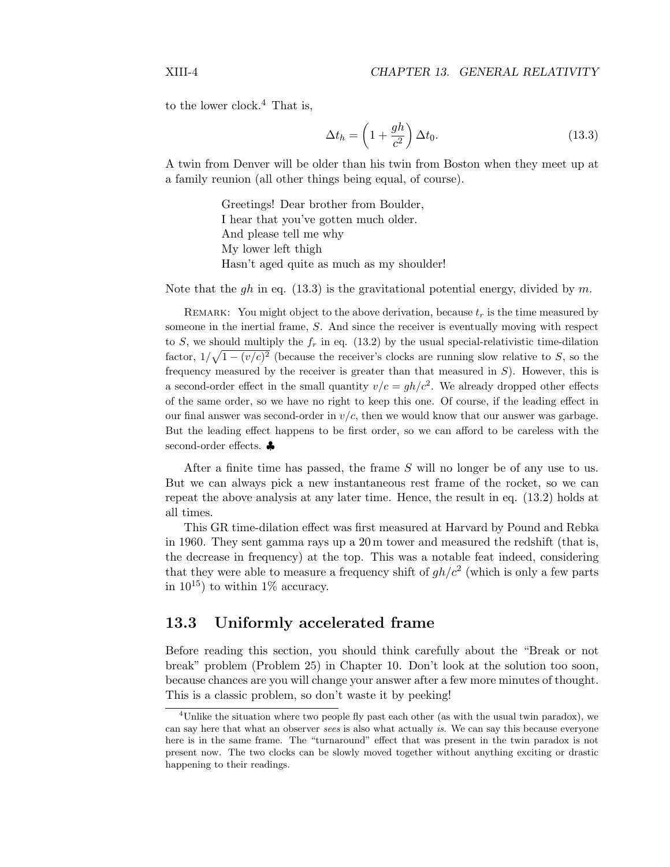to the lower clock.<sup>4</sup> That is,

$$
\Delta t_h = \left(1 + \frac{gh}{c^2}\right) \Delta t_0. \tag{13.3}
$$

A twin from Denver will be older than his twin from Boston when they meet up at a family reunion (all other things being equal, of course).

> Greetings! Dear brother from Boulder, I hear that you've gotten much older. And please tell me why My lower left thigh Hasn't aged quite as much as my shoulder!

Note that the gh in eq. (13.3) is the gravitational potential energy, divided by m.

REMARK: You might object to the above derivation, because  $t_r$  is the time measured by someone in the inertial frame, S. And since the receiver is eventually moving with respect to S, we should multiply the  $f_r$  in eq. (13.2) by the usual special-relativistic time-dilation factor,  $1/\sqrt{1-(v/c)^2}$  (because the receiver's clocks are running slow relative to S, so the frequency measured by the receiver is greater than that measured in  $S$ ). However, this is a second-order effect in the small quantity  $v/c = gh/c^2$ . We already dropped other effects of the same order, so we have no right to keep this one. Of course, if the leading effect in our final answer was second-order in  $v/c$ , then we would know that our answer was garbage. But the leading effect happens to be first order, so we can afford to be careless with the second-order effects. ♣

After a finite time has passed, the frame S will no longer be of any use to us. But we can always pick a new instantaneous rest frame of the rocket, so we can repeat the above analysis at any later time. Hence, the result in eq. (13.2) holds at all times.

This GR time-dilation effect was first measured at Harvard by Pound and Rebka in 1960. They sent gamma rays up a 20 m tower and measured the redshift (that is, the decrease in frequency) at the top. This was a notable feat indeed, considering that they were able to measure a frequency shift of  $gh/c^2$  (which is only a few parts in  $10^{15}$ ) to within  $1\%$  accuracy.

### 13.3 Uniformly accelerated frame

Before reading this section, you should think carefully about the "Break or not break" problem (Problem 25) in Chapter 10. Don't look at the solution too soon, because chances are you will change your answer after a few more minutes of thought. This is a classic problem, so don't waste it by peeking!

<sup>&</sup>lt;sup>4</sup>Unlike the situation where two people fly past each other (as with the usual twin paradox), we can say here that what an observer sees is also what actually is. We can say this because everyone here is in the same frame. The "turnaround" effect that was present in the twin paradox is not present now. The two clocks can be slowly moved together without anything exciting or drastic happening to their readings.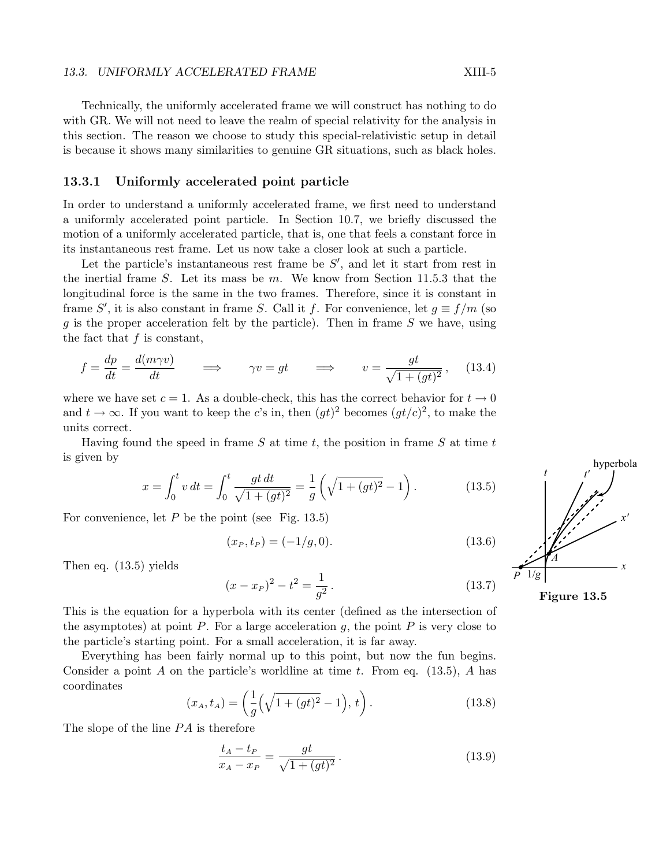Technically, the uniformly accelerated frame we will construct has nothing to do with GR. We will not need to leave the realm of special relativity for the analysis in this section. The reason we choose to study this special-relativistic setup in detail is because it shows many similarities to genuine GR situations, such as black holes.

#### 13.3.1 Uniformly accelerated point particle

In order to understand a uniformly accelerated frame, we first need to understand a uniformly accelerated point particle. In Section 10.7, we briefly discussed the motion of a uniformly accelerated particle, that is, one that feels a constant force in its instantaneous rest frame. Let us now take a closer look at such a particle.

Let the particle's instantaneous rest frame be  $S'$ , and let it start from rest in the inertial frame S. Let its mass be m. We know from Section 11.5.3 that the longitudinal force is the same in the two frames. Therefore, since it is constant in frame S', it is also constant in frame S. Call it f. For convenience, let  $g \equiv f/m$  (so g is the proper acceleration felt by the particle). Then in frame S we have, using the fact that  $f$  is constant,

$$
f = \frac{dp}{dt} = \frac{d(m\gamma v)}{dt} \qquad \Longrightarrow \qquad \gamma v = gt \qquad \Longrightarrow \qquad v = \frac{gt}{\sqrt{1 + (gt)^2}}, \tag{13.4}
$$

where we have set  $c = 1$ . As a double-check, this has the correct behavior for  $t \to 0$ and  $t \to \infty$ . If you want to keep the c's in, then  $(gt)^2$  becomes  $(gt/c)^2$ , to make the units correct.

Having found the speed in frame  $S$  at time  $t$ , the position in frame  $S$  at time  $t$ is given by

$$
x = \int_0^t v \, dt = \int_0^t \frac{gt \, dt}{\sqrt{1 + (gt)^2}} = \frac{1}{g} \left( \sqrt{1 + (gt)^2} - 1 \right). \tag{13.5}
$$

For convenience, let  $P$  be the point (see Fig. 13.5)

$$
(x_P, t_P) = (-1/g, 0). \tag{13.6}
$$

Then eq. (13.5) yields

$$
(x - xP)2 - t2 = \frac{1}{g2}.
$$
 (13.7)

This is the equation for a hyperbola with its center (defined as the intersection of the asymptotes) at point P. For a large acceleration g, the point P is very close to the particle's starting point. For a small acceleration, it is far away.

Everything has been fairly normal up to this point, but now the fun begins. Consider a point A on the particle's worldline at time t. From eq.  $(13.5)$ , A has coordinates  $\lambda$ ´

$$
(x_A, t_A) = \left(\frac{1}{g}(\sqrt{1 + (gt)^2} - 1), t\right). \tag{13.8}
$$

The slope of the line  $PA$  is therefore

$$
\frac{t_A - t_P}{x_A - x_P} = \frac{gt}{\sqrt{1 + (gt)^2}}.
$$
\n(13.9)



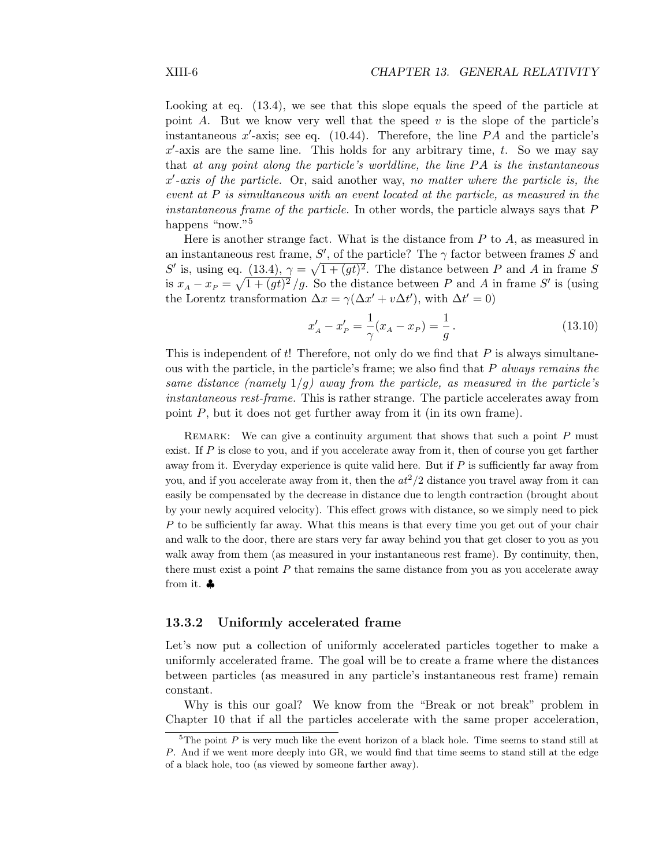Looking at eq.  $(13.4)$ , we see that this slope equals the speed of the particle at point A. But we know very well that the speed  $v$  is the slope of the particle's instantaneous  $x'$ -axis; see eq. (10.44). Therefore, the line  $PA$  and the particle's  $x'$ -axis are the same line. This holds for any arbitrary time, t. So we may say that at any point along the particle's worldline, the line  $PA$  is the instantaneous  $x'$ -axis of the particle. Or, said another way, no matter where the particle is, the event at P is simultaneous with an event located at the particle, as measured in the instantaneous frame of the particle. In other words, the particle always says that P happens "now."<sup>5</sup>

Here is another strange fact. What is the distance from  $P$  to  $A$ , as measured in an instantaneous rest frame,  $S'$ , of the particle? The  $\gamma$  factor between frames S and S' is, using eq.  $(13.4), \gamma = \sqrt{1 + (gt)^2}$ . The distance between P and A in frame S is  $x_A - x_P = \sqrt{1 + (gt)^2}/g$ . So the distance between P and A in frame S' is (using the Lorentz transformation  $\Delta x = \gamma(\Delta x' + v\Delta t')$ , with  $\Delta t' = 0$ )

$$
x'_{A} - x'_{P} = \frac{1}{\gamma}(x_{A} - x_{P}) = \frac{1}{g}.
$$
\n(13.10)

This is independent of  $t$ ! Therefore, not only do we find that  $P$  is always simultaneous with the particle, in the particle's frame; we also find that  $P$  always remains the same distance (namely  $1/q$ ) away from the particle, as measured in the particle's instantaneous rest-frame. This is rather strange. The particle accelerates away from point P, but it does not get further away from it (in its own frame).

REMARK: We can give a continuity argument that shows that such a point  $P$  must exist. If  $P$  is close to you, and if you accelerate away from it, then of course you get farther away from it. Everyday experience is quite valid here. But if  $P$  is sufficiently far away from you, and if you accelerate away from it, then the  $at^2/2$  distance you travel away from it can easily be compensated by the decrease in distance due to length contraction (brought about by your newly acquired velocity). This effect grows with distance, so we simply need to pick P to be sufficiently far away. What this means is that every time you get out of your chair and walk to the door, there are stars very far away behind you that get closer to you as you walk away from them (as measured in your instantaneous rest frame). By continuity, then, there must exist a point  $P$  that remains the same distance from you as you accelerate away from it. ♣

#### 13.3.2 Uniformly accelerated frame

Let's now put a collection of uniformly accelerated particles together to make a uniformly accelerated frame. The goal will be to create a frame where the distances between particles (as measured in any particle's instantaneous rest frame) remain constant.

Why is this our goal? We know from the "Break or not break" problem in Chapter 10 that if all the particles accelerate with the same proper acceleration,

<sup>&</sup>lt;sup>5</sup>The point  $P$  is very much like the event horizon of a black hole. Time seems to stand still at P. And if we went more deeply into GR, we would find that time seems to stand still at the edge of a black hole, too (as viewed by someone farther away).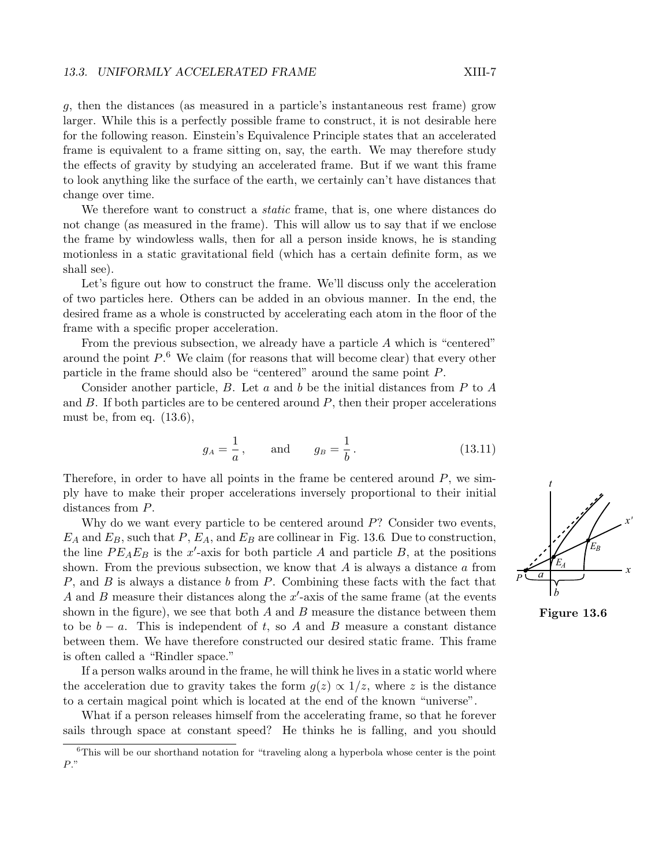g, then the distances (as measured in a particle's instantaneous rest frame) grow larger. While this is a perfectly possible frame to construct, it is not desirable here for the following reason. Einstein's Equivalence Principle states that an accelerated frame is equivalent to a frame sitting on, say, the earth. We may therefore study the effects of gravity by studying an accelerated frame. But if we want this frame to look anything like the surface of the earth, we certainly can't have distances that change over time.

We therefore want to construct a *static* frame, that is, one where distances do not change (as measured in the frame). This will allow us to say that if we enclose the frame by windowless walls, then for all a person inside knows, he is standing motionless in a static gravitational field (which has a certain definite form, as we shall see).

Let's figure out how to construct the frame. We'll discuss only the acceleration of two particles here. Others can be added in an obvious manner. In the end, the desired frame as a whole is constructed by accelerating each atom in the floor of the frame with a specific proper acceleration.

From the previous subsection, we already have a particle A which is "centered" around the point  $P^6$ . We claim (for reasons that will become clear) that every other particle in the frame should also be "centered" around the same point P.

Consider another particle, B. Let a and b be the initial distances from  $P$  to  $A$ and  $B$ . If both particles are to be centered around  $P$ , then their proper accelerations must be, from eq.  $(13.6)$ ,

$$
g_A = \frac{1}{a}
$$
, and  $g_B = \frac{1}{b}$ . (13.11)

Therefore, in order to have all points in the frame be centered around  $P$ , we simply have to make their proper accelerations inversely proportional to their initial distances from P.

Why do we want every particle to be centered around  $P$ ? Consider two events,  $E_A$  and  $E_B$ , such that P,  $E_A$ , and  $E_B$  are collinear in Fig. 13.6. Due to construction, the line  $PE_A E_B$  is the x'-axis for both particle A and particle B, at the positions shown. From the previous subsection, we know that  $A$  is always a distance  $a$  from P, and B is always a distance b from P. Combining these facts with the fact that A and B measure their distances along the  $x'$ -axis of the same frame (at the events shown in the figure), we see that both  $A$  and  $B$  measure the distance between them to be  $b - a$ . This is independent of t, so A and B measure a constant distance between them. We have therefore constructed our desired static frame. This frame is often called a "Rindler space."

If a person walks around in the frame, he will think he lives in a static world where the acceleration due to gravity takes the form  $g(z) \propto 1/z$ , where z is the distance to a certain magical point which is located at the end of the known "universe".

What if a person releases himself from the accelerating frame, so that he forever sails through space at constant speed? He thinks he is falling, and you should





<sup>&</sup>lt;sup>6</sup>This will be our shorthand notation for "traveling along a hyperbola whose center is the point P."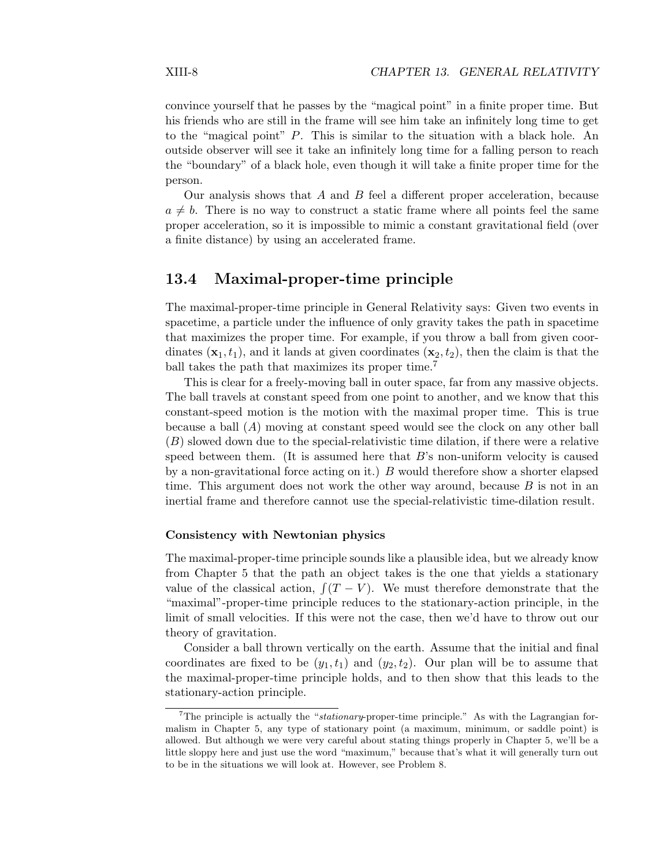convince yourself that he passes by the "magical point" in a finite proper time. But his friends who are still in the frame will see him take an infinitely long time to get to the "magical point" P. This is similar to the situation with a black hole. An outside observer will see it take an infinitely long time for a falling person to reach the "boundary" of a black hole, even though it will take a finite proper time for the person.

Our analysis shows that A and B feel a different proper acceleration, because  $a \neq b$ . There is no way to construct a static frame where all points feel the same proper acceleration, so it is impossible to mimic a constant gravitational field (over a finite distance) by using an accelerated frame.

### 13.4 Maximal-proper-time principle

The maximal-proper-time principle in General Relativity says: Given two events in spacetime, a particle under the influence of only gravity takes the path in spacetime that maximizes the proper time. For example, if you throw a ball from given coordinates  $(\mathbf{x}_1, t_1)$ , and it lands at given coordinates  $(\mathbf{x}_2, t_2)$ , then the claim is that the ball takes the path that maximizes its proper time.<sup>7</sup>

This is clear for a freely-moving ball in outer space, far from any massive objects. The ball travels at constant speed from one point to another, and we know that this constant-speed motion is the motion with the maximal proper time. This is true because a ball (A) moving at constant speed would see the clock on any other ball (B) slowed down due to the special-relativistic time dilation, if there were a relative speed between them. (It is assumed here that  $B$ 's non-uniform velocity is caused by a non-gravitational force acting on it.) B would therefore show a shorter elapsed time. This argument does not work the other way around, because  $B$  is not in an inertial frame and therefore cannot use the special-relativistic time-dilation result.

#### Consistency with Newtonian physics

The maximal-proper-time principle sounds like a plausible idea, but we already know from Chapter 5 that the path an object takes is the one that yields a stationary value of the classical action,  $f(T - V)$ . We must therefore demonstrate that the "maximal"-proper-time principle reduces to the stationary-action principle, in the limit of small velocities. If this were not the case, then we'd have to throw out our theory of gravitation.

Consider a ball thrown vertically on the earth. Assume that the initial and final coordinates are fixed to be  $(y_1, t_1)$  and  $(y_2, t_2)$ . Our plan will be to assume that the maximal-proper-time principle holds, and to then show that this leads to the stationary-action principle.

<sup>7</sup>The principle is actually the "stationary-proper-time principle." As with the Lagrangian formalism in Chapter 5, any type of stationary point (a maximum, minimum, or saddle point) is allowed. But although we were very careful about stating things properly in Chapter 5, we'll be a little sloppy here and just use the word "maximum," because that's what it will generally turn out to be in the situations we will look at. However, see Problem 8.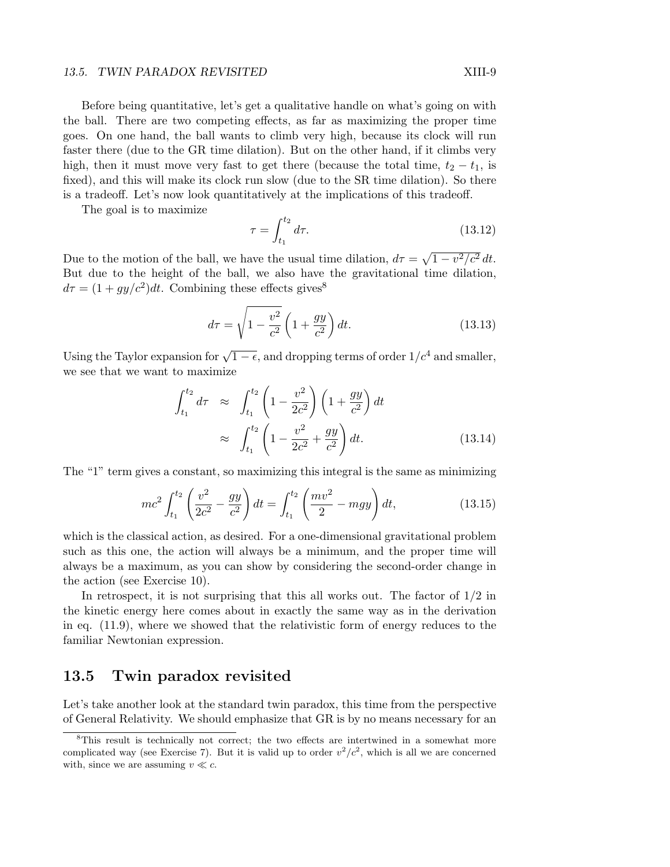#### 13.5. TWIN PARADOX REVISITED XIII-9

Before being quantitative, let's get a qualitative handle on what's going on with the ball. There are two competing effects, as far as maximizing the proper time goes. On one hand, the ball wants to climb very high, because its clock will run faster there (due to the GR time dilation). But on the other hand, if it climbs very high, then it must move very fast to get there (because the total time,  $t_2 - t_1$ , is fixed), and this will make its clock run slow (due to the SR time dilation). So there is a tradeoff. Let's now look quantitatively at the implications of this tradeoff.

The goal is to maximize

$$
\tau = \int_{t_1}^{t_2} d\tau.
$$
\n(13.12)

Due to the motion of the ball, we have the usual time dilation,  $d\tau =$ p  $\sqrt{1-v^2/c^2} dt$ . But due to the height of the ball, we also have the gravitational time dilation,  $d\tau = (1 + gy/c^2)dt$ . Combining these effects gives<sup>8</sup>

$$
d\tau = \sqrt{1 - \frac{v^2}{c^2}} \left( 1 + \frac{gy}{c^2} \right) dt.
$$
 (13.13)

Using the Taylor expansion for  $\sqrt{1-\epsilon}$ , and dropping terms of order  $1/c^4$  and smaller, we see that we want to maximize

$$
\int_{t_1}^{t_2} d\tau \approx \int_{t_1}^{t_2} \left( 1 - \frac{v^2}{2c^2} \right) \left( 1 + \frac{gy}{c^2} \right) dt
$$
  
 
$$
\approx \int_{t_1}^{t_2} \left( 1 - \frac{v^2}{2c^2} + \frac{gy}{c^2} \right) dt.
$$
 (13.14)

The "1" term gives a constant, so maximizing this integral is the same as minimizing

$$
mc^2 \int_{t_1}^{t_2} \left(\frac{v^2}{2c^2} - \frac{gy}{c^2}\right) dt = \int_{t_1}^{t_2} \left(\frac{mv^2}{2} - mgy\right) dt,
$$
 (13.15)

which is the classical action, as desired. For a one-dimensional gravitational problem such as this one, the action will always be a minimum, and the proper time will always be a maximum, as you can show by considering the second-order change in the action (see Exercise 10).

In retrospect, it is not surprising that this all works out. The factor of  $1/2$  in the kinetic energy here comes about in exactly the same way as in the derivation in eq. (11.9), where we showed that the relativistic form of energy reduces to the familiar Newtonian expression.

### 13.5 Twin paradox revisited

Let's take another look at the standard twin paradox, this time from the perspective of General Relativity. We should emphasize that GR is by no means necessary for an

<sup>&</sup>lt;sup>8</sup>This result is technically not correct; the two effects are intertwined in a somewhat more complicated way (see Exercise 7). But it is valid up to order  $v^2/c^2$ , which is all we are concerned with, since we are assuming  $v \ll c$ .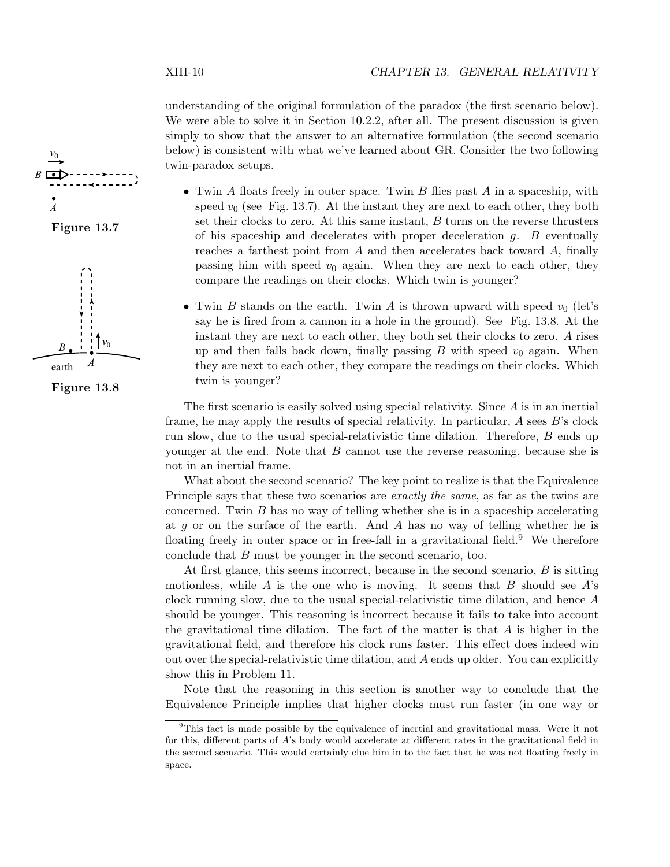understanding of the original formulation of the paradox (the first scenario below). We were able to solve it in Section 10.2.2, after all. The present discussion is given simply to show that the answer to an alternative formulation (the second scenario below) is consistent with what we've learned about GR. Consider the two following twin-paradox setups.

- Twin A floats freely in outer space. Twin B flies past  $A$  in a spaceship, with speed  $v_0$  (see Fig. 13.7). At the instant they are next to each other, they both Figure 13.7 set their clocks to zero. At this same instant, B turns on the reverse thrusters of his spaceship and decelerates with proper deceleration  $q$ . B eventually reaches a farthest point from  $A$  and then accelerates back toward  $A$ , finally passing him with speed  $v_0$  again. When they are next to each other, they compare the readings on their clocks. Which twin is younger?
	- Twin B stands on the earth. Twin A is thrown upward with speed  $v_0$  (let's say he is fired from a cannon in a hole in the ground). See Fig. 13.8. At the instant they are next to each other, they both set their clocks to zero. A rises up and then falls back down, finally passing B with speed  $v_0$  again. When they are next to each other, they compare the readings on their clocks. Which twin is younger?

The first scenario is easily solved using special relativity. Since  $A$  is in an inertial frame, he may apply the results of special relativity. In particular, A sees B's clock run slow, due to the usual special-relativistic time dilation. Therefore, B ends up younger at the end. Note that  $B$  cannot use the reverse reasoning, because she is not in an inertial frame.

What about the second scenario? The key point to realize is that the Equivalence Principle says that these two scenarios are *exactly the same*, as far as the twins are concerned. Twin B has no way of telling whether she is in a spaceship accelerating at g or on the surface of the earth. And A has no way of telling whether he is floating freely in outer space or in free-fall in a gravitational field.<sup>9</sup> We therefore conclude that B must be younger in the second scenario, too.

At first glance, this seems incorrect, because in the second scenario, B is sitting motionless, while A is the one who is moving. It seems that B should see  $A$ 's clock running slow, due to the usual special-relativistic time dilation, and hence A should be younger. This reasoning is incorrect because it fails to take into account the gravitational time dilation. The fact of the matter is that  $A$  is higher in the gravitational field, and therefore his clock runs faster. This effect does indeed win out over the special-relativistic time dilation, and  $A$  ends up older. You can explicitly show this in Problem 11.

Note that the reasoning in this section is another way to conclude that the Equivalence Principle implies that higher clocks must run faster (in one way or









<sup>9</sup>This fact is made possible by the equivalence of inertial and gravitational mass. Were it not for this, different parts of A's body would accelerate at different rates in the gravitational field in the second scenario. This would certainly clue him in to the fact that he was not floating freely in space.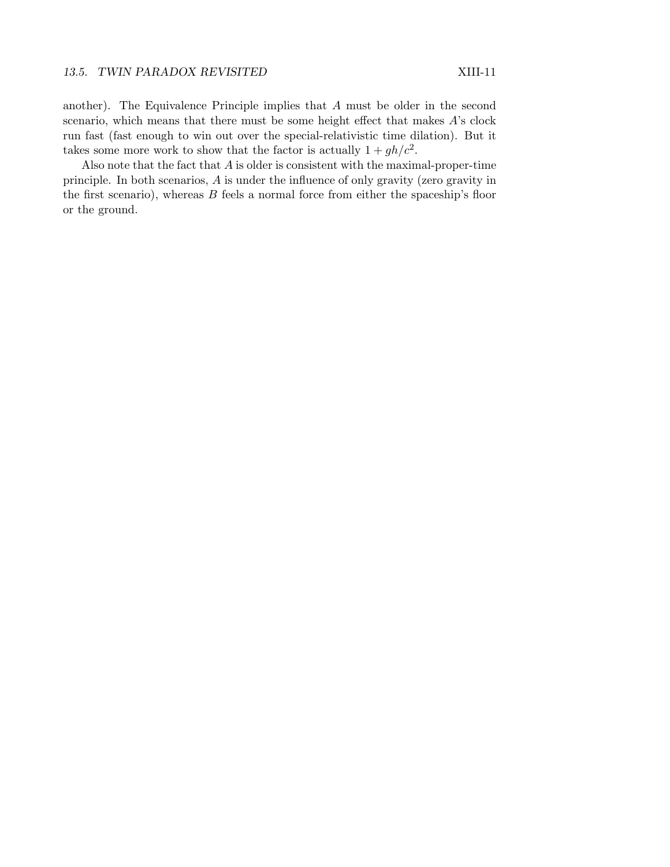another). The Equivalence Principle implies that A must be older in the second scenario, which means that there must be some height effect that makes A's clock run fast (fast enough to win out over the special-relativistic time dilation). But it takes some more work to show that the factor is actually  $1 + gh/c^2$ .

Also note that the fact that  $A$  is older is consistent with the maximal-proper-time principle. In both scenarios, A is under the influence of only gravity (zero gravity in the first scenario), whereas  $B$  feels a normal force from either the spaceship's floor or the ground.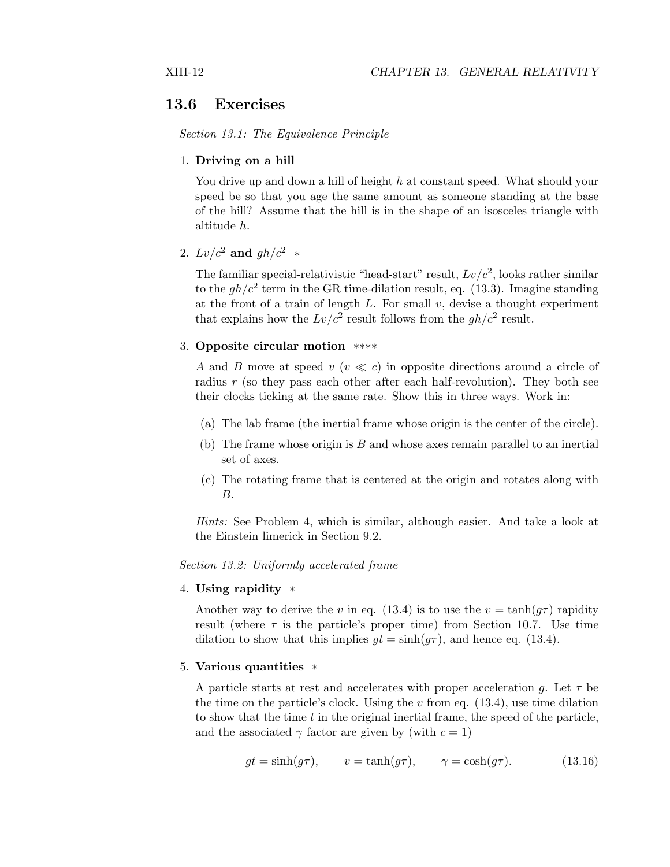### 13.6 Exercises

Section 13.1: The Equivalence Principle

#### 1. Driving on a hill

You drive up and down a hill of height h at constant speed. What should your speed be so that you age the same amount as someone standing at the base of the hill? Assume that the hill is in the shape of an isosceles triangle with altitude h.

## 2.  $Lv/c^2$  and  $gh/c^2$  \*

The familiar special-relativistic "head-start" result,  $Lv/c^2$ , looks rather similar to the  $gh/c^2$  term in the GR time-dilation result, eq. (13.3). Imagine standing at the front of a train of length  $L$ . For small  $v$ , devise a thought experiment that explains how the  $Lv/c^2$  result follows from the  $gh/c^2$  result.

#### 3. Opposite circular motion \*\*\*\*

A and B move at speed  $v (v \ll c)$  in opposite directions around a circle of radius  $r$  (so they pass each other after each half-revolution). They both see their clocks ticking at the same rate. Show this in three ways. Work in:

- (a) The lab frame (the inertial frame whose origin is the center of the circle).
- $(b)$  The frame whose origin is  $B$  and whose axes remain parallel to an inertial set of axes.
- (c) The rotating frame that is centered at the origin and rotates along with B.

Hints: See Problem 4, which is similar, although easier. And take a look at the Einstein limerick in Section 9.2.

#### Section 13.2: Uniformly accelerated frame

#### 4. Using rapidity \*

Another way to derive the v in eq. (13.4) is to use the  $v = \tanh(q\tau)$  rapidity result (where  $\tau$  is the particle's proper time) from Section 10.7. Use time dilation to show that this implies  $qt = \sinh(q\tau)$ , and hence eq. (13.4).

#### 5. Various quantities \*

A particle starts at rest and accelerates with proper acceleration g. Let  $\tau$  be the time on the particle's clock. Using the v from eq.  $(13.4)$ , use time dilation to show that the time  $t$  in the original inertial frame, the speed of the particle, and the associated  $\gamma$  factor are given by (with  $c = 1$ )

$$
gt = \sinh(g\tau)
$$
,  $v = \tanh(g\tau)$ ,  $\gamma = \cosh(g\tau)$ . (13.16)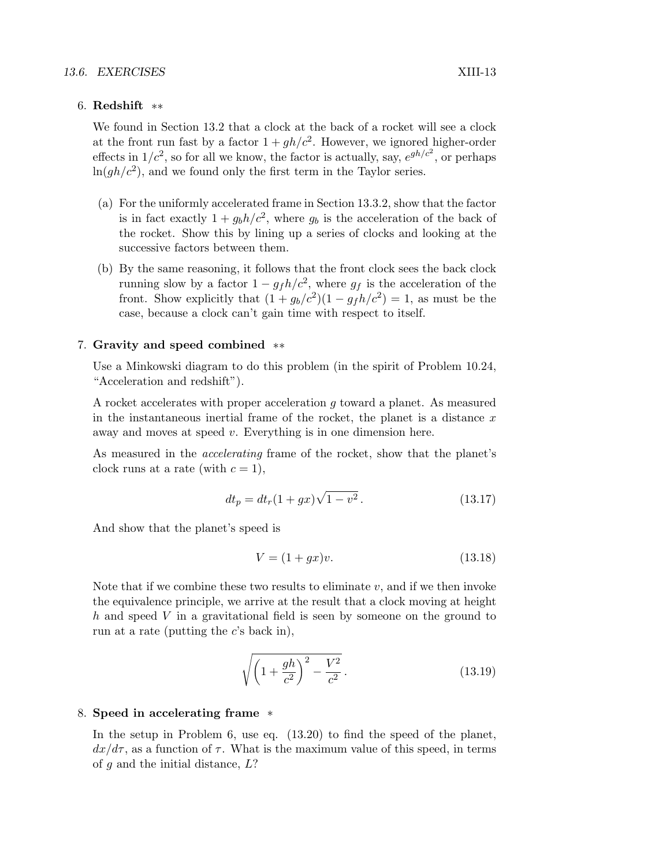#### 13.6. EXERCISES XIII-13

#### 6. Redshift \*\*

We found in Section 13.2 that a clock at the back of a rocket will see a clock at the front run fast by a factor  $1 + gh/c^2$ . However, we ignored higher-order effects in  $1/c^2$ , so for all we know, the factor is actually, say,  $e^{gh/c^2}$ , or perhaps  $\ln(gh/c^2)$ , and we found only the first term in the Taylor series.

- (a) For the uniformly accelerated frame in Section 13.3.2, show that the factor is in fact exactly  $1 + g_b h/c^2$ , where  $g_b$  is the acceleration of the back of the rocket. Show this by lining up a series of clocks and looking at the successive factors between them.
- (b) By the same reasoning, it follows that the front clock sees the back clock running slow by a factor  $1 - g_f h/c^2$ , where  $g_f$  is the acceleration of the front. Show explicitly that  $(1 + g_b/c^2)(1 - g_f h/c^2) = 1$ , as must be the case, because a clock can't gain time with respect to itself.

#### 7. Gravity and speed combined \*\*

Use a Minkowski diagram to do this problem (in the spirit of Problem 10.24, "Acceleration and redshift").

A rocket accelerates with proper acceleration g toward a planet. As measured in the instantaneous inertial frame of the rocket, the planet is a distance  $x$ away and moves at speed v. Everything is in one dimension here.

As measured in the *accelerating* frame of the rocket, show that the planet's clock runs at a rate (with  $c = 1$ ),

$$
dt_p = dt_r (1 + gx)\sqrt{1 - v^2}.
$$
 (13.17)

And show that the planet's speed is

$$
V = (1 + gx)v.
$$
 (13.18)

Note that if we combine these two results to eliminate  $v$ , and if we then invoke the equivalence principle, we arrive at the result that a clock moving at height h and speed V in a gravitational field is seen by someone on the ground to run at a rate (putting the  $c$ 's back in),

$$
\sqrt{\left(1+\frac{gh}{c^2}\right)^2 - \frac{V^2}{c^2}}.
$$
\n(13.19)

#### 8. Speed in accelerating frame \*

In the setup in Problem 6, use eq. (13.20) to find the speed of the planet,  $dx/d\tau$ , as a function of  $\tau$ . What is the maximum value of this speed, in terms of  $g$  and the initial distance,  $L$ ?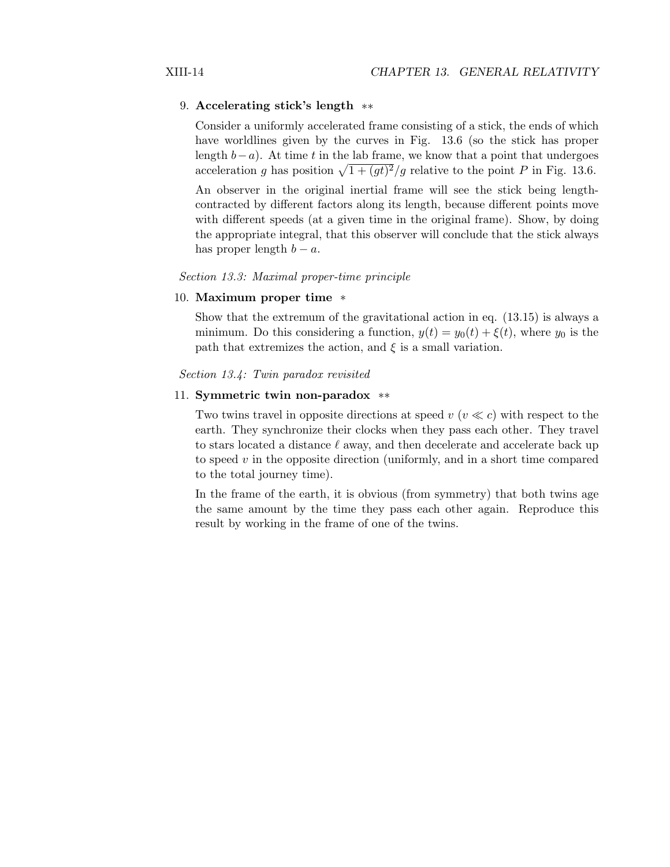#### 9. Accelerating stick's length \*\*

Consider a uniformly accelerated frame consisting of a stick, the ends of which have worldlines given by the curves in Fig. 13.6 (so the stick has proper length  $b-a$ ). At time t in the lab frame, we know that a point that undergoes ength  $b - a$ ). At time t in the lab frame, we know that a point that undergoes acceleration g has position  $\sqrt{1 + (gt)^2}/g$  relative to the point P in Fig. 13.6. An observer in the original inertial frame will see the stick being length-

contracted by different factors along its length, because different points move with different speeds (at a given time in the original frame). Show, by doing the appropriate integral, that this observer will conclude that the stick always has proper length  $b - a$ .

#### Section 13.3: Maximal proper-time principle

#### 10. Maximum proper time \*

Show that the extremum of the gravitational action in eq. (13.15) is always a minimum. Do this considering a function,  $y(t) = y_0(t) + \xi(t)$ , where  $y_0$  is the path that extremizes the action, and  $\xi$  is a small variation.

#### Section 13.4: Twin paradox revisited

#### 11. Symmetric twin non-paradox \*\*

Two twins travel in opposite directions at speed  $v (v \ll c)$  with respect to the earth. They synchronize their clocks when they pass each other. They travel to stars located a distance  $\ell$  away, and then decelerate and accelerate back up to speed  $v$  in the opposite direction (uniformly, and in a short time compared to the total journey time).

In the frame of the earth, it is obvious (from symmetry) that both twins age the same amount by the time they pass each other again. Reproduce this result by working in the frame of one of the twins.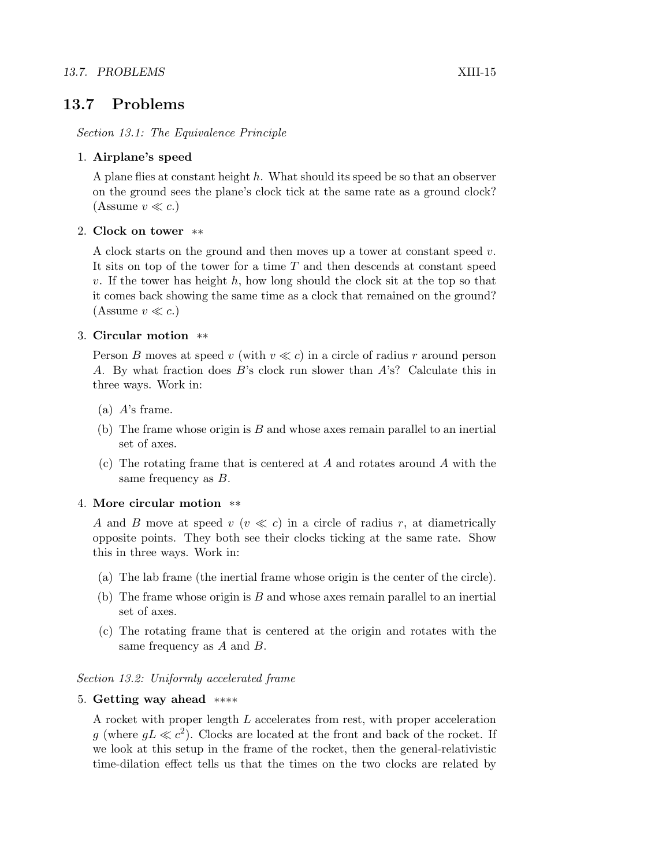### 13.7 Problems

Section 13.1: The Equivalence Principle

#### 1. Airplane's speed

A plane flies at constant height  $h$ . What should its speed be so that an observer on the ground sees the plane's clock tick at the same rate as a ground clock? (Assume  $v \ll c$ .)

2. Clock on tower \*\*

A clock starts on the ground and then moves up a tower at constant speed  $v$ . It sits on top of the tower for a time T and then descends at constant speed v. If the tower has height h, how long should the clock sit at the top so that it comes back showing the same time as a clock that remained on the ground? (Assume  $v \ll c$ .)

#### 3. Circular motion \*\*

Person B moves at speed v (with  $v \ll c$ ) in a circle of radius r around person A. By what fraction does B's clock run slower than A's? Calculate this in three ways. Work in:

- $(a)$  A's frame.
- $(b)$  The frame whose origin is B and whose axes remain parallel to an inertial set of axes.
- (c) The rotating frame that is centered at A and rotates around A with the same frequency as B.

#### 4. More circular motion \*\*

A and B move at speed  $v (v \ll c)$  in a circle of radius r, at diametrically opposite points. They both see their clocks ticking at the same rate. Show this in three ways. Work in:

- (a) The lab frame (the inertial frame whose origin is the center of the circle).
- (b) The frame whose origin is B and whose axes remain parallel to an inertial set of axes.
- (c) The rotating frame that is centered at the origin and rotates with the same frequency as A and B.

#### Section 13.2: Uniformly accelerated frame

#### 5. Getting way ahead \*\*\*\*

A rocket with proper length L accelerates from rest, with proper acceleration g (where  $gL \ll c^2$ ). Clocks are located at the front and back of the rocket. If we look at this setup in the frame of the rocket, then the general-relativistic time-dilation effect tells us that the times on the two clocks are related by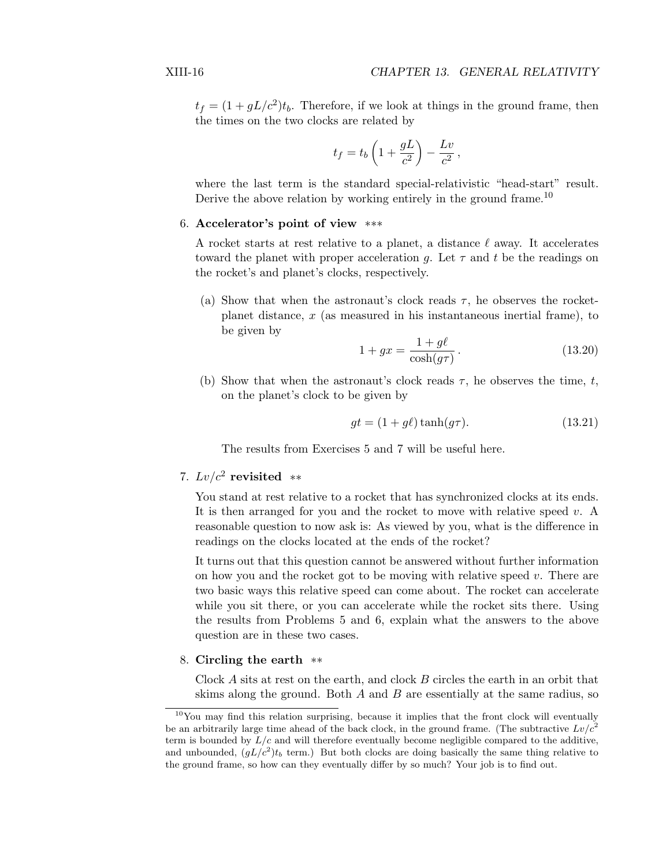$t_f = (1 + gL/c^2)t_b$ . Therefore, if we look at things in the ground frame, then the times on the two clocks are related by

$$
t_f = t_b \left( 1 + \frac{gL}{c^2} \right) - \frac{Lv}{c^2},
$$

where the last term is the standard special-relativistic "head-start" result. Derive the above relation by working entirely in the ground frame.<sup>10</sup>

#### 6. Accelerator's point of view \*\*\*

A rocket starts at rest relative to a planet, a distance  $\ell$  away. It accelerates toward the planet with proper acceleration g. Let  $\tau$  and t be the readings on the rocket's and planet's clocks, respectively.

(a) Show that when the astronaut's clock reads  $\tau$ , he observes the rocketplanet distance,  $x$  (as measured in his instantaneous inertial frame), to be given by

$$
1 + gx = \frac{1 + g\ell}{\cosh(g\tau)}.
$$
\n(13.20)

(b) Show that when the astronaut's clock reads  $\tau$ , he observes the time, t, on the planet's clock to be given by

$$
gt = (1 + g\ell)\tanh(g\tau). \tag{13.21}
$$

The results from Exercises 5 and 7 will be useful here.

## 7.  $Lv/c^2$  revisited \*\*

You stand at rest relative to a rocket that has synchronized clocks at its ends. It is then arranged for you and the rocket to move with relative speed  $v$ . A reasonable question to now ask is: As viewed by you, what is the difference in readings on the clocks located at the ends of the rocket?

It turns out that this question cannot be answered without further information on how you and the rocket got to be moving with relative speed  $v$ . There are two basic ways this relative speed can come about. The rocket can accelerate while you sit there, or you can accelerate while the rocket sits there. Using the results from Problems 5 and 6, explain what the answers to the above question are in these two cases.

#### 8. Circling the earth \*\*

Clock A sits at rest on the earth, and clock B circles the earth in an orbit that skims along the ground. Both  $A$  and  $B$  are essentially at the same radius, so

 $10$ You may find this relation surprising, because it implies that the front clock will eventually be an arbitrarily large time ahead of the back clock, in the ground frame. (The subtractive  $Lv/c^2$ term is bounded by  $L/c$  and will therefore eventually become negligible compared to the additive, and unbounded,  $(gL/c^2)t_b$  term.) But both clocks are doing basically the same thing relative to the ground frame, so how can they eventually differ by so much? Your job is to find out.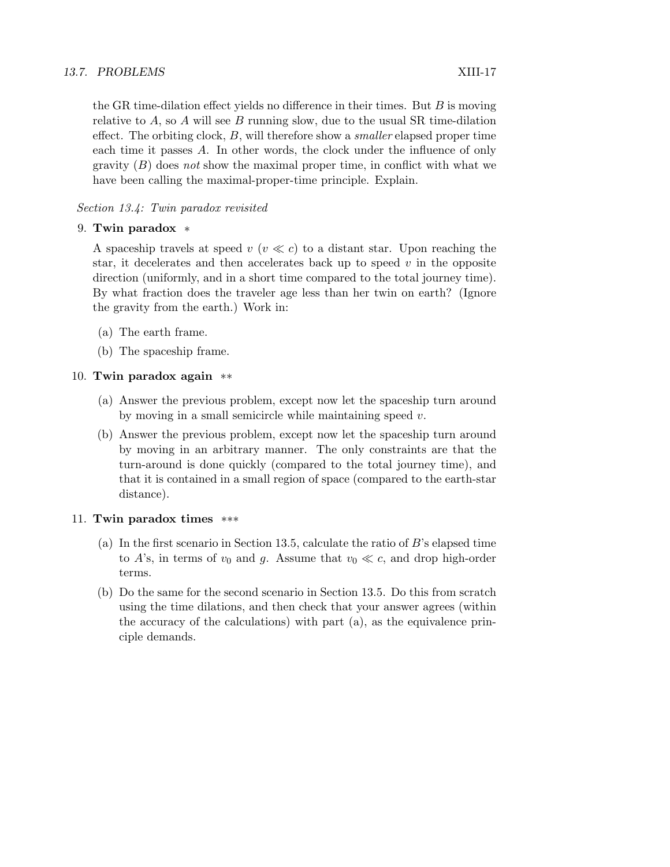### 13.7. PROBLEMS XIII-17

the GR time-dilation effect yields no difference in their times. But  $B$  is moving relative to  $A$ , so  $A$  will see  $B$  running slow, due to the usual SR time-dilation effect. The orbiting clock,  $B$ , will therefore show a *smaller* elapsed proper time each time it passes A. In other words, the clock under the influence of only gravity  $(B)$  does not show the maximal proper time, in conflict with what we have been calling the maximal-proper-time principle. Explain.

Section 13.4: Twin paradox revisited

#### 9. Twin paradox \*

A spaceship travels at speed  $v \ (v \ll c)$  to a distant star. Upon reaching the star, it decelerates and then accelerates back up to speed  $v$  in the opposite direction (uniformly, and in a short time compared to the total journey time). By what fraction does the traveler age less than her twin on earth? (Ignore the gravity from the earth.) Work in:

- (a) The earth frame.
- (b) The spaceship frame.

#### 10. Twin paradox again  $**$

- (a) Answer the previous problem, except now let the spaceship turn around by moving in a small semicircle while maintaining speed  $v$ .
- (b) Answer the previous problem, except now let the spaceship turn around by moving in an arbitrary manner. The only constraints are that the turn-around is done quickly (compared to the total journey time), and that it is contained in a small region of space (compared to the earth-star distance).

#### 11. Twin paradox times \*\*\*

- (a) In the first scenario in Section 13.5, calculate the ratio of  $B$ 's elapsed time to A's, in terms of  $v_0$  and g. Assume that  $v_0 \ll c$ , and drop high-order terms.
- (b) Do the same for the second scenario in Section 13.5. Do this from scratch using the time dilations, and then check that your answer agrees (within the accuracy of the calculations) with part (a), as the equivalence principle demands.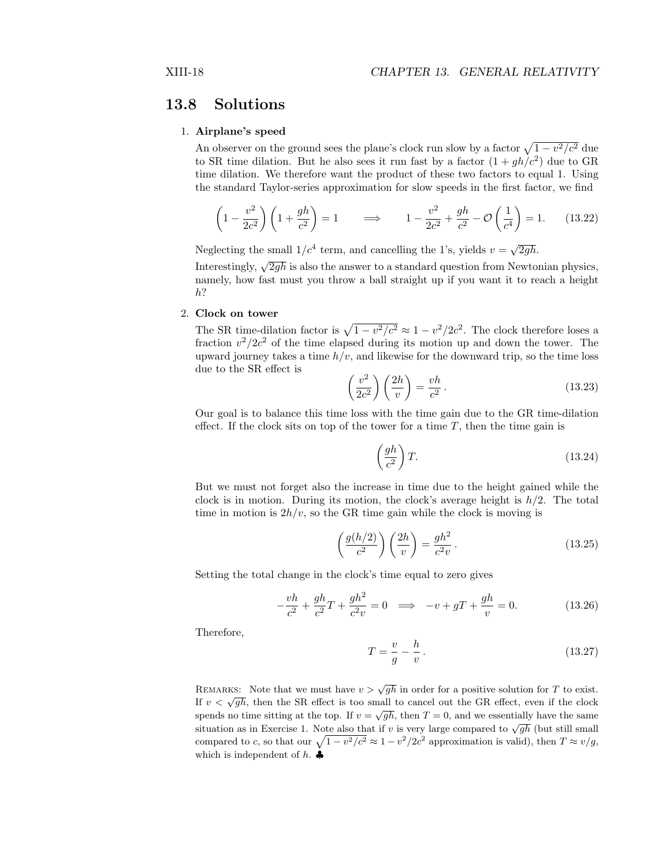### 13.8 Solutions

#### 1. Airplane's speed

An observer on the ground sees the plane's clock run slow by a factor  $\sqrt{1 - v^2/c^2}$  due to SR time dilation. But he also sees it run fast by a factor  $(1+gh/c^2)$  due to GR time dilation. We therefore want the product of these two factors to equal 1. Using the standard Taylor-series approximation for slow speeds in the first factor, we find

$$
\left(1 - \frac{v^2}{2c^2}\right)\left(1 + \frac{gh}{c^2}\right) = 1 \qquad \Longrightarrow \qquad 1 - \frac{v^2}{2c^2} + \frac{gh}{c^2} - \mathcal{O}\left(\frac{1}{c^4}\right) = 1. \tag{13.22}
$$

Neglecting the small  $1/c^4$  term, and cancelling the 1's, yields  $v = \sqrt{2gh}$ .

Interestingly,  $\sqrt{2gh}$  is also the answer to a standard question from Newtonian physics, namely, how fast must you throw a ball straight up if you want it to reach a height h?

#### 2. Clock on tower

The SR time-dilation factor is  $\sqrt{1 - v^2/c^2} \approx 1 - v^2/2c^2$ . The clock therefore loses a fraction  $v^2/2c^2$  of the time elapsed during its motion up and down the tower. The upward journey takes a time  $h/v$ , and likewise for the downward trip, so the time loss due to the SR effect is  $\overline{a}$  $\mathbf{r}$ 

$$
\left(\frac{v^2}{2c^2}\right)\left(\frac{2h}{v}\right) = \frac{vh}{c^2}.
$$
\n(13.23)

Our goal is to balance this time loss with the time gain due to the GR time-dilation effect. If the clock sits on top of the tower for a time  $T$ , then the time gain is

$$
\left(\frac{gh}{c^2}\right)T.\tag{13.24}
$$

But we must not forget also the increase in time due to the height gained while the clock is in motion. During its motion, the clock's average height is  $h/2$ . The total time in motion is  $2h/v$ , so the GR time gain while the clock is moving is

$$
\left(\frac{g(h/2)}{c^2}\right)\left(\frac{2h}{v}\right) = \frac{gh^2}{c^2v}.
$$
\n(13.25)

Setting the total change in the clock's time equal to zero gives

$$
-\frac{vh}{c^2} + \frac{gh}{c^2}T + \frac{gh^2}{c^2v} = 0 \implies -v + gT + \frac{gh}{v} = 0.
$$
 (13.26)

Therefore,

$$
T = \frac{v}{g} - \frac{h}{v}.
$$
\n
$$
(13.27)
$$

REMARKS: Note that we must have  $v > \sqrt{gh}$  in order for a positive solution for T to exist. It is the started we have  $v > \sqrt{g}h$  in order to a positive solution for T to exist.<br>If  $v < \sqrt{gh}$ , then the SR effect is too small to cancel out the GR effect, even if the clock spends no time sitting at the top. If  $v = \sqrt{gh}$ , then  $T = 0$ , and we essentially have the same spends no time string at the top. If  $v = \sqrt{g}u$ , then  $T = 0$ , and we essentially have the same<br>situation as in Exercise 1. Note also that if v is very large compared to  $\sqrt{gh}$  (but still small situation as in Exercise 1. Note also that if v is very large compared to  $\sqrt{gh}$  (but still small compared to c, so that our  $\sqrt{1 - v^2/c^2} \approx 1 - v^2/2c^2$  approximation is valid), then  $T \approx v/g$ , which is independent of  $h$ .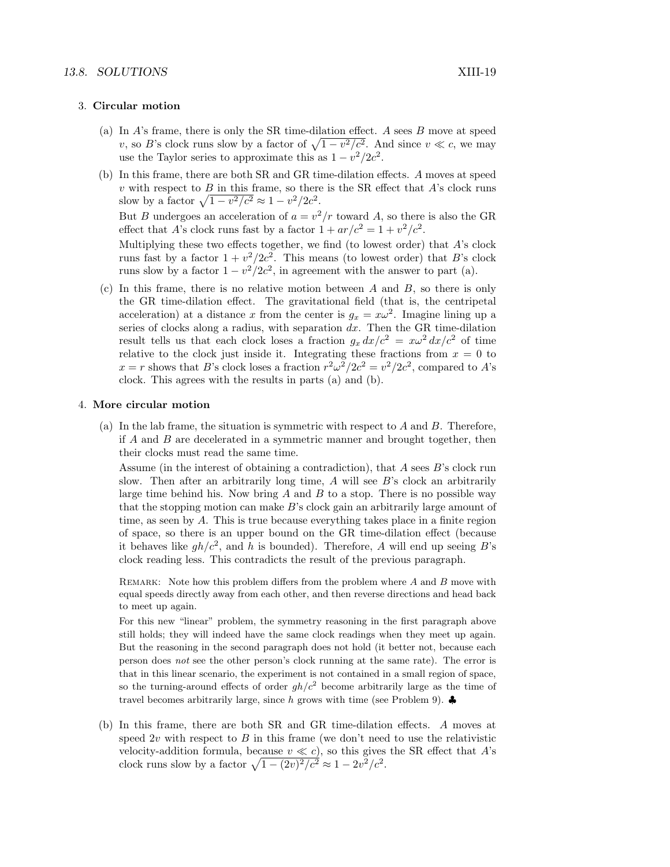#### 3. Circular motion

- (a) In  $A$ 's frame, there is only the SR time-dilation effect. A sees  $B$  move at speed In A's frame, there is only the SR time-dilation effect. A sees B move at speed v, so B's clock runs slow by a factor of  $\sqrt{1 - v^2/c^2}$ . And since  $v \ll c$ , we may use the Taylor series to approximate this as  $1 - v^2/2c^2$ .
- (b) In this frame, there are both SR and GR time-dilation effects. A moves at speed v with respect to B in this frame, so there is the SR effect that  $A$ 's clock runs v with respect to *B* in this frame, so there<br>slow by a factor  $\sqrt{1 - v^2/c^2} \approx 1 - v^2/2c^2$ .

But B undergoes an acceleration of  $a = v^2/r$  toward A, so there is also the GR effect that A's clock runs fast by a factor  $1 + ar/c^2 = 1 + v^2/c^2$ .

Multiplying these two effects together, we find (to lowest order) that A's clock runs fast by a factor  $1 + v^2/2c^2$ . This means (to lowest order) that B's clock runs slow by a factor  $1 - v^2/2c^2$ , in agreement with the answer to part (a).

(c) In this frame, there is no relative motion between  $A$  and  $B$ , so there is only the GR time-dilation effect. The gravitational field (that is, the centripetal acceleration) at a distance x from the center is  $g_x = x\omega^2$ . Imagine lining up a series of clocks along a radius, with separation  $dx$ . Then the GR time-dilation result tells us that each clock loses a fraction  $g_x dx/c^2 = x\omega^2 dx/c^2$  of time relative to the clock just inside it. Integrating these fractions from  $x = 0$  to  $x = r$  shows that B's clock loses a fraction  $r^2 \omega^2 / 2c^2 = v^2 / 2c^2$ , compared to A's clock. This agrees with the results in parts (a) and (b).

#### 4. More circular motion

(a) In the lab frame, the situation is symmetric with respect to  $A$  and  $B$ . Therefore, if  $A$  and  $B$  are decelerated in a symmetric manner and brought together, then their clocks must read the same time.

Assume (in the interest of obtaining a contradiction), that A sees B's clock run slow. Then after an arbitrarily long time,  $A$  will see  $B$ 's clock an arbitrarily large time behind his. Now bring  $A$  and  $B$  to a stop. There is no possible way that the stopping motion can make  $B$ 's clock gain an arbitrarily large amount of time, as seen by A. This is true because everything takes place in a finite region of space, so there is an upper bound on the GR time-dilation effect (because it behaves like  $gh/c^2$ , and h is bounded). Therefore, A will end up seeing B's clock reading less. This contradicts the result of the previous paragraph.

REMARK: Note how this problem differs from the problem where  $A$  and  $B$  move with equal speeds directly away from each other, and then reverse directions and head back to meet up again.

For this new "linear" problem, the symmetry reasoning in the first paragraph above still holds; they will indeed have the same clock readings when they meet up again. But the reasoning in the second paragraph does not hold (it better not, because each person does not see the other person's clock running at the same rate). The error is that in this linear scenario, the experiment is not contained in a small region of space, so the turning-around effects of order  $gh/c^2$  become arbitrarily large as the time of travel becomes arbitrarily large, since h grows with time (see Problem 9).  $\clubsuit$ 

(b) In this frame, there are both SR and GR time-dilation effects. A moves at speed  $2v$  with respect to  $B$  in this frame (we don't need to use the relativistic velocity-addition formula, because  $v \ll c$ ), so this gives the SR effect that A's clock runs slow by a factor  $\sqrt{1 - (2v)^2/c^2} \approx 1 - 2v^2/c^2$ .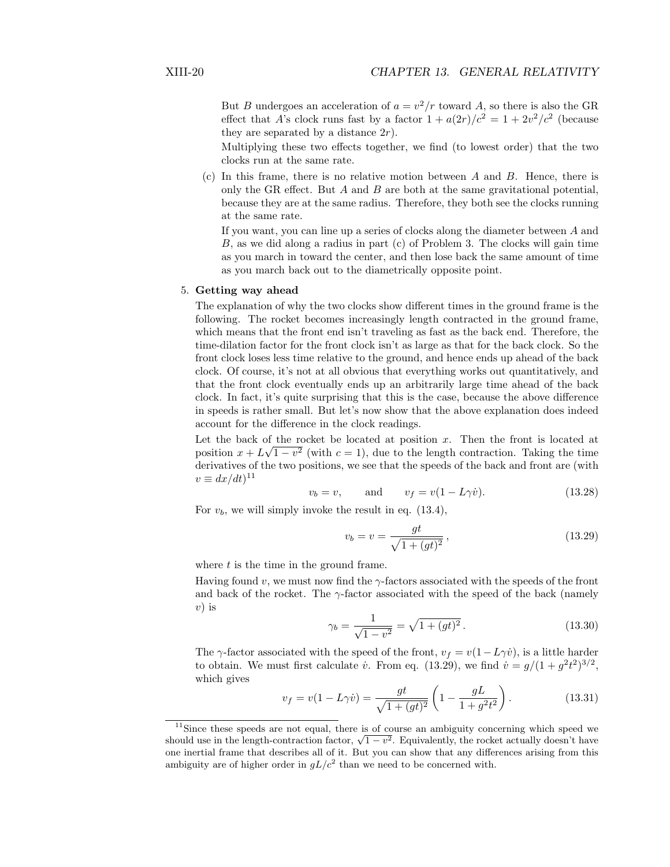But B undergoes an acceleration of  $a = v^2/r$  toward A, so there is also the GR effect that A's clock runs fast by a factor  $1 + a(2r)/c^2 = 1 + 2v^2/c^2$  (because they are separated by a distance  $2r$ ).

Multiplying these two effects together, we find (to lowest order) that the two clocks run at the same rate.

(c) In this frame, there is no relative motion between A and B. Hence, there is only the GR effect. But A and B are both at the same gravitational potential, because they are at the same radius. Therefore, they both see the clocks running at the same rate.

If you want, you can line up a series of clocks along the diameter between A and B, as we did along a radius in part (c) of Problem 3. The clocks will gain time as you march in toward the center, and then lose back the same amount of time as you march back out to the diametrically opposite point.

#### 5. Getting way ahead

The explanation of why the two clocks show different times in the ground frame is the following. The rocket becomes increasingly length contracted in the ground frame, which means that the front end isn't traveling as fast as the back end. Therefore, the time-dilation factor for the front clock isn't as large as that for the back clock. So the front clock loses less time relative to the ground, and hence ends up ahead of the back clock. Of course, it's not at all obvious that everything works out quantitatively, and that the front clock eventually ends up an arbitrarily large time ahead of the back clock. In fact, it's quite surprising that this is the case, because the above difference in speeds is rather small. But let's now show that the above explanation does indeed account for the difference in the clock readings.

Let the back of the rocket be located at position x. Then the front is located at position  $x + L\sqrt{1 - v^2}$  (with  $c = 1$ ), due to the length contraction. Taking the time derivatives of the two positions, we see that the speeds of the back and front are (with  $v \equiv dx/dt$ <sup>11</sup>

$$
v_b = v, \qquad \text{and} \qquad v_f = v(1 - L\gamma \dot{v}). \tag{13.28}
$$

For  $v<sub>b</sub>$ , we will simply invoke the result in eq. (13.4),

$$
v_b = v = \frac{gt}{\sqrt{1 + (gt)^2}},
$$
\n(13.29)

where  $t$  is the time in the ground frame.

Having found v, we must now find the  $\gamma$ -factors associated with the speeds of the front and back of the rocket. The  $\gamma$ -factor associated with the speed of the back (namely  $v)$  is

$$
\gamma_b = \frac{1}{\sqrt{1 - v^2}} = \sqrt{1 + (gt)^2}.
$$
\n(13.30)

The  $\gamma$ -factor associated with the speed of the front,  $v_f = v(1-L\gamma \dot{v})$ , is a little harder to obtain. We must first calculate *i*. From eq. (13.29), we find  $\dot{v} = g/(1 + g^2 t^2)^{3/2}$ , which gives  $\overline{a}$  $\mathbf{r}$ 

$$
v_f = v(1 - L\gamma \dot{v}) = \frac{gt}{\sqrt{1 + (gt)^2}} \left(1 - \frac{gL}{1 + g^2 t^2}\right).
$$
 (13.31)

<sup>&</sup>lt;sup>11</sup>Since these speeds are not equal, there is of course an ambiguity concerning which speed we Since these speeds are not equal, there is of course an ambiguity concerning which speed we<br>should use in the length-contraction factor,  $\sqrt{1-v^2}$ . Equivalently, the rocket actually doesn't have one inertial frame that describes all of it. But you can show that any differences arising from this ambiguity are of higher order in  $gL/c^2$  than we need to be concerned with.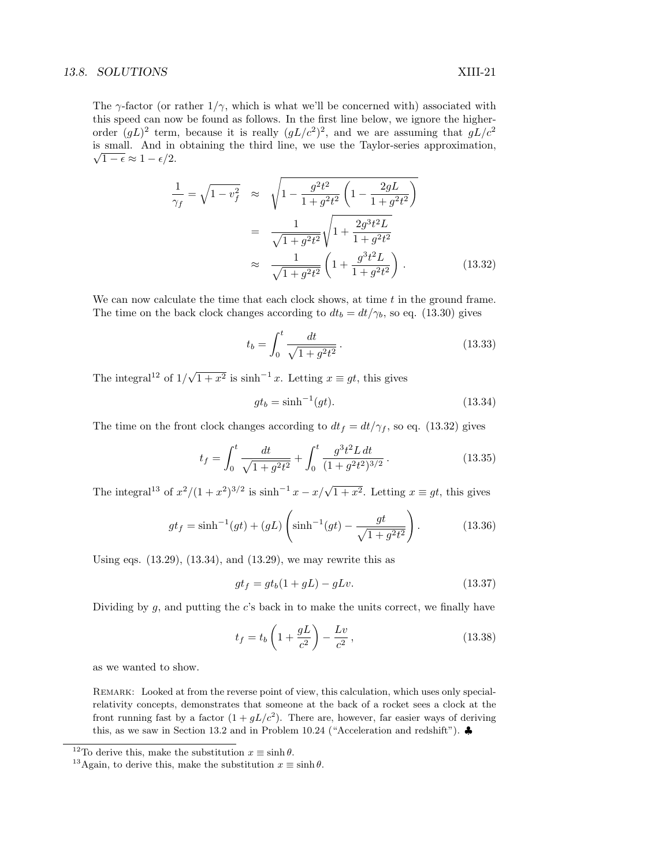The  $\gamma$ -factor (or rather  $1/\gamma$ , which is what we'll be concerned with) associated with this speed can now be found as follows. In the first line below, we ignore the higherorder  $(gL)^2$  term, because it is really  $(gL/c^2)^2$ , and we are assuming that  $gL/c^2$ is small. And in obtaining the third line, we use the Taylor-series approximation, √  $\sqrt{1-\epsilon} \approx 1-\epsilon/2.$ 

$$
\frac{1}{\gamma_f} = \sqrt{1 - v_f^2} \approx \sqrt{1 - \frac{g^2 t^2}{1 + g^2 t^2} \left(1 - \frac{2gL}{1 + g^2 t^2}\right)}
$$

$$
= \frac{1}{\sqrt{1 + g^2 t^2}} \sqrt{1 + \frac{2g^3 t^2 L}{1 + g^2 t^2}}
$$

$$
\approx \frac{1}{\sqrt{1 + g^2 t^2}} \left(1 + \frac{g^3 t^2 L}{1 + g^2 t^2}\right). \tag{13.32}
$$

We can now calculate the time that each clock shows, at time  $t$  in the ground frame. The time on the back clock changes according to  $dt_b = dt/\gamma_b$ , so eq. (13.30) gives

$$
t_b = \int_0^t \frac{dt}{\sqrt{1 + g^2 t^2}}.
$$
\n(13.33)

The integral<sup>12</sup> of  $1/\sqrt{ }$  $\overline{1+x^2}$  is sinh<sup>-1</sup> x. Letting  $x \equiv gt$ , this gives

$$
gt_b = \sinh^{-1}(gt). \t\t(13.34)
$$

The time on the front clock changes according to  $dt_f = dt/\gamma_f$ , so eq. (13.32) gives

$$
t_f = \int_0^t \frac{dt}{\sqrt{1 + g^2 t^2}} + \int_0^t \frac{g^3 t^2 L dt}{(1 + g^2 t^2)^{3/2}}.
$$
 (13.35)

The integral<sup>13</sup> of  $x^2/(1+x^2)^{3/2}$  is  $\sinh^{-1} x - x/\sqrt{1+x^2}$ . Letting  $x \equiv gt$ , this gives  $\overline{a}$ !<br>}

$$
gt_f = \sinh^{-1}(gt) + (gL)\left(\sinh^{-1}(gt) - \frac{gt}{\sqrt{1+g^2t^2}}\right).
$$
 (13.36)

Using eqs. (13.29), (13.34), and (13.29), we may rewrite this as

$$
gt_f = gt_b(1 + gL) - gLv.
$$
\n(13.37)

Dividing by  $g$ , and putting the  $c$ 's back in to make the units correct, we finally have

$$
t_f = t_b \left( 1 + \frac{gL}{c^2} \right) - \frac{Lv}{c^2},\tag{13.38}
$$

as we wanted to show.

Remark: Looked at from the reverse point of view, this calculation, which uses only specialrelativity concepts, demonstrates that someone at the back of a rocket sees a clock at the front running fast by a factor  $(1 + gL/c^2)$ . There are, however, far easier ways of deriving this, as we saw in Section 13.2 and in Problem 10.24 ("Acceleration and redshift"). ♣

<sup>&</sup>lt;sup>12</sup>To derive this, make the substitution  $x \equiv \sinh \theta$ .

<sup>&</sup>lt;sup>13</sup>Again, to derive this, make the substitution  $x \equiv \sinh \theta$ .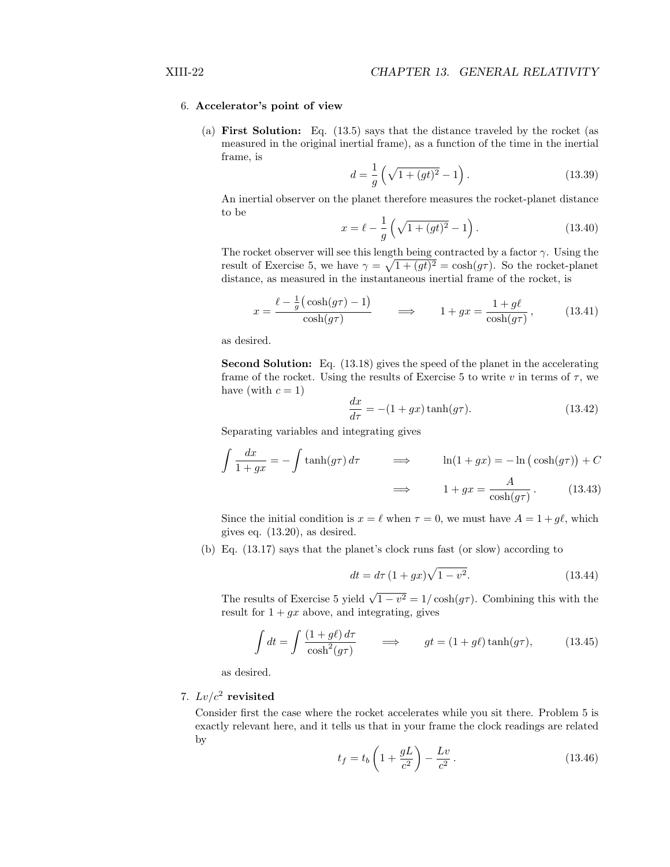#### 6. Accelerator's point of view

(a) First Solution: Eq. (13.5) says that the distance traveled by the rocket (as measured in the original inertial frame), as a function of the time in the inertial frame, is ´

$$
d = \frac{1}{g} \left( \sqrt{1 + (gt)^2} - 1 \right). \tag{13.39}
$$

An inertial observer on the planet therefore measures the rocket-planet distance to be  $\mathcal{L}$ ´

$$
x = \ell - \frac{1}{g} \left( \sqrt{1 + (gt)^2} - 1 \right). \tag{13.40}
$$

The rocket observer will see this length being contracted by a factor  $\gamma$ . Using the result of Exercise 5, we have  $\gamma = \sqrt{1 + (gt)^2} = \cosh(g\tau)$ . So the rocket-planet distance, as measured in the instantaneous inertial frame of the rocket, is

$$
x = \frac{\ell - \frac{1}{g}(\cosh(g\tau) - 1)}{\cosh(g\tau)} \qquad \Longrightarrow \qquad 1 + gx = \frac{1 + g\ell}{\cosh(g\tau)},\tag{13.41}
$$

as desired.

Second Solution: Eq. (13.18) gives the speed of the planet in the accelerating frame of the rocket. Using the results of Exercise 5 to write v in terms of  $\tau$ , we have (with  $c = 1$ )

$$
\frac{dx}{d\tau} = -(1+gx)\tanh(g\tau). \tag{13.42}
$$

Separating variables and integrating gives

$$
\int \frac{dx}{1+gx} = -\int \tanh(g\tau) d\tau \qquad \Longrightarrow \qquad \ln(1+gx) = -\ln(\cosh(g\tau)) + C
$$

$$
\Longrightarrow \qquad 1+gx = \frac{A}{\cosh(g\tau)}.
$$
(13.43)

Since the initial condition is  $x = \ell$  when  $\tau = 0$ , we must have  $A = 1 + g\ell$ , which gives eq. (13.20), as desired.

(b) Eq. (13.17) says that the planet's clock runs fast (or slow) according to

$$
dt = d\tau (1 + gx)\sqrt{1 - v^2}.
$$
 (13.44)

The results of Exercise 5 yield  $\sqrt{1-v^2} = 1/\cosh(g\tau)$ . Combining this with the result for  $1 + gx$  above, and integrating, gives

$$
\int dt = \int \frac{(1+g\ell) d\tau}{\cosh^2(g\tau)} \qquad \Longrightarrow \qquad gt = (1+g\ell)\tanh(g\tau),\tag{13.45}
$$

as desired.

#### 7.  $Lv/c^2$  revisited

Consider first the case where the rocket accelerates while you sit there. Problem 5 is exactly relevant here, and it tells us that in your frame the clock readings are related by  $\overline{a}$  $\mathbf{r}$ 

$$
t_f = t_b \left( 1 + \frac{gL}{c^2} \right) - \frac{Lv}{c^2} \,. \tag{13.46}
$$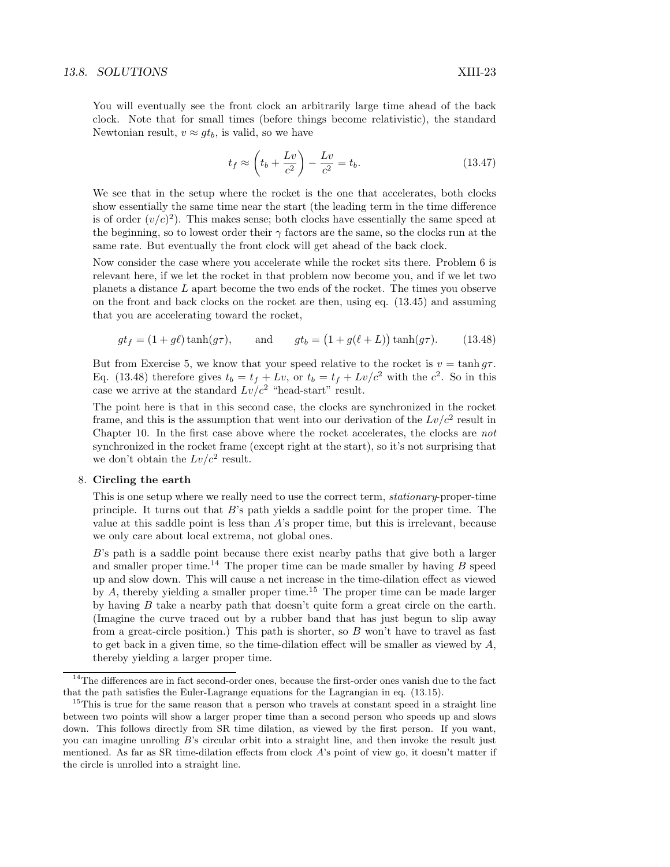You will eventually see the front clock an arbitrarily large time ahead of the back clock. Note that for small times (before things become relativistic), the standard Newtonian result,  $v \approx gt_b$ , is valid, so we have

$$
t_f \approx \left(t_b + \frac{Lv}{c^2}\right) - \frac{Lv}{c^2} = t_b.
$$
\n(13.47)

We see that in the setup where the rocket is the one that accelerates, both clocks show essentially the same time near the start (the leading term in the time difference is of order  $(v/c)^2$ ). This makes sense; both clocks have essentially the same speed at the beginning, so to lowest order their  $\gamma$  factors are the same, so the clocks run at the same rate. But eventually the front clock will get ahead of the back clock.

Now consider the case where you accelerate while the rocket sits there. Problem 6 is relevant here, if we let the rocket in that problem now become you, and if we let two planets a distance L apart become the two ends of the rocket. The times you observe on the front and back clocks on the rocket are then, using eq. (13.45) and assuming that you are accelerating toward the rocket,

$$
gt_f = (1 + g\ell)\tanh(g\tau)
$$
, and  $gt_b = (1 + g(\ell + L))\tanh(g\tau)$ . (13.48)

But from Exercise 5, we know that your speed relative to the rocket is  $v = \tanh g\tau$ . Eq. (13.48) therefore gives  $t_b = t_f + Lv$ , or  $t_b = t_f + Lv/c^2$  with the  $c^2$ . So in this case we arrive at the standard  $Lv/c^2$  "head-start" result.

The point here is that in this second case, the clocks are synchronized in the rocket frame, and this is the assumption that went into our derivation of the  $Lv/c^2$  result in Chapter 10. In the first case above where the rocket accelerates, the clocks are not synchronized in the rocket frame (except right at the start), so it's not surprising that we don't obtain the  $Lv/c^2$  result.

#### 8. Circling the earth

This is one setup where we really need to use the correct term, stationary-proper-time principle. It turns out that  $B$ 's path yields a saddle point for the proper time. The value at this saddle point is less than A's proper time, but this is irrelevant, because we only care about local extrema, not global ones.

B's path is a saddle point because there exist nearby paths that give both a larger and smaller proper time.<sup>14</sup> The proper time can be made smaller by having  $B$  speed up and slow down. This will cause a net increase in the time-dilation effect as viewed by A, thereby yielding a smaller proper time.<sup>15</sup> The proper time can be made larger by having  $B$  take a nearby path that doesn't quite form a great circle on the earth. (Imagine the curve traced out by a rubber band that has just begun to slip away from a great-circle position.) This path is shorter, so  $B$  won't have to travel as fast to get back in a given time, so the time-dilation effect will be smaller as viewed by  $A$ , thereby yielding a larger proper time.

<sup>&</sup>lt;sup>14</sup>The differences are in fact second-order ones, because the first-order ones vanish due to the fact that the path satisfies the Euler-Lagrange equations for the Lagrangian in eq. (13.15).

<sup>&</sup>lt;sup>15</sup>This is true for the same reason that a person who travels at constant speed in a straight line between two points will show a larger proper time than a second person who speeds up and slows down. This follows directly from SR time dilation, as viewed by the first person. If you want, you can imagine unrolling B's circular orbit into a straight line, and then invoke the result just mentioned. As far as SR time-dilation effects from clock A's point of view go, it doesn't matter if the circle is unrolled into a straight line.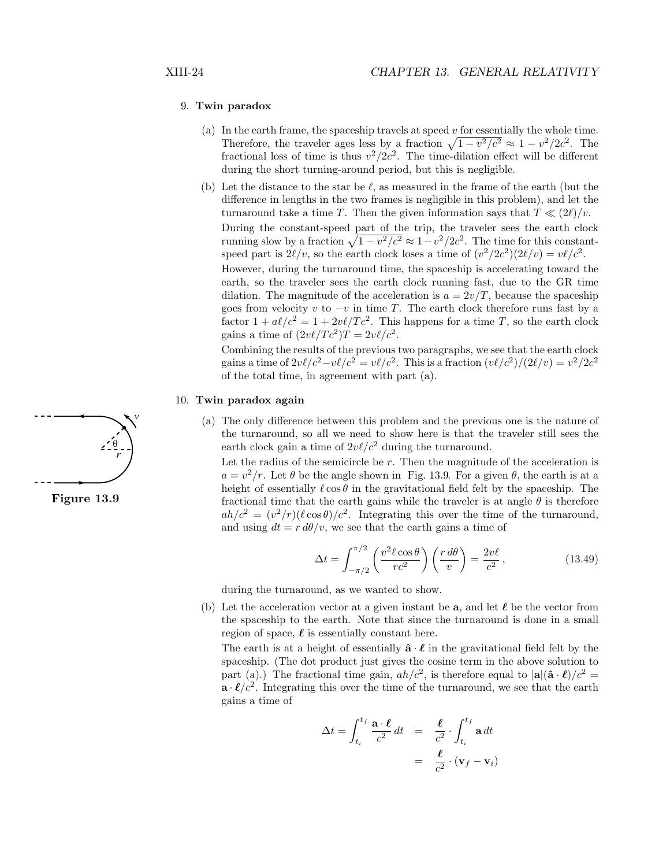#### 9. Twin paradox

- (a) In the earth frame, the spaceship travels at speed v for essentially the whole time. In the earth frame, the spaceship travels at speed v for essentially the whole time.<br>Therefore, the traveler ages less by a fraction  $\sqrt{1 - v^2/c^2} \approx 1 - v^2/2c^2$ . The fractional loss of time is thus  $v^2/2c^2$ . The time-dilation effect will be different during the short turning-around period, but this is negligible.
- (b) Let the distance to the star be  $\ell$ , as measured in the frame of the earth (but the difference in lengths in the two frames is negligible in this problem), and let the turnaround take a time T. Then the given information says that  $T \ll (2\ell)/v$ . During the constant-speed part of the trip, the traveler sees the earth clock During the constant-speed part of the trip, the traveler sees the earth clock<br>running slow by a fraction  $\sqrt{1 - v^2/c^2} \approx 1 - v^2/2c^2$ . The time for this constantspeed part is  $2\ell/v$ , so the earth clock loses a time of  $(v^2/2c^2)(2\ell/v) = v\ell/c^2$ . However, during the turnaround time, the spaceship is accelerating toward the earth, so the traveler sees the earth clock running fast, due to the GR time dilation. The magnitude of the acceleration is  $a = 2v/T$ , because the spaceship goes from velocity v to  $-v$  in time T. The earth clock therefore runs fast by a factor  $1 + a\ell/c^2 = 1 + 2\nu\ell/T c^2$ . This happens for a time T, so the earth clock gains a time of  $(2v\ell/Tc^2)T = 2v\ell/c^2$ .

Combining the results of the previous two paragraphs, we see that the earth clock gains a time of  $2v\ell/c^2 - v\ell/c^2 = v\ell/c^2$ . This is a fraction  $(v\ell/c^2)/(2\ell/v) = v^2/2c^2$ of the total time, in agreement with part (a).

#### 10. Twin paradox again

(a) The only difference between this problem and the previous one is the nature of the turnaround, so all we need to show here is that the traveler still sees the earth clock gain a time of  $2\nu\ell/c^2$  during the turnaround.

Let the radius of the semicircle be  $r$ . Then the magnitude of the acceleration is  $a = v^2/r$ . Let  $\theta$  be the angle shown in Fig. 13.9. For a given  $\theta$ , the earth is at a height of essentially  $\ell \cos \theta$  in the gravitational field felt by the spaceship. The fractional time that the earth gains while the traveler is at angle  $\theta$  is therefore  $ah/c^2 = (v^2/r)(\ell \cos \theta)/c^2$ . Integrating this over the time of the turnaround, and using  $dt = r d\theta/v$ , we see that the earth gains a time of

$$
\Delta t = \int_{-\pi/2}^{\pi/2} \left( \frac{v^2 \ell \cos \theta}{rc^2} \right) \left( \frac{r \, d\theta}{v} \right) = \frac{2v\ell}{c^2},\tag{13.49}
$$

during the turnaround, as we wanted to show.

(b) Let the acceleration vector at a given instant be **a**, and let  $\ell$  be the vector from the spaceship to the earth. Note that since the turnaround is done in a small region of space,  $\ell$  is essentially constant here.

The earth is at a height of essentially  $\hat{\mathbf{a}} \cdot \hat{\mathbf{\ell}}$  in the gravitational field felt by the spaceship. (The dot product just gives the cosine term in the above solution to part (a).) The fractional time gain,  $ah/c^2$ , is therefore equal to  $|a|(\hat{a} \cdot \ell)/c^2 =$  $\mathbf{a} \cdot \ell/c^2$ . Integrating this over the time of the turnaround, we see that the earth gains a time of

$$
\Delta t = \int_{t_i}^{t_f} \frac{\mathbf{a} \cdot \boldsymbol{\ell}}{c^2} dt = \frac{\boldsymbol{\ell}}{c^2} \cdot \int_{t_i}^{t_f} \mathbf{a} dt
$$

$$
= \frac{\boldsymbol{\ell}}{c^2} \cdot (\mathbf{v}_f - \mathbf{v}_i)
$$



Figure 13.9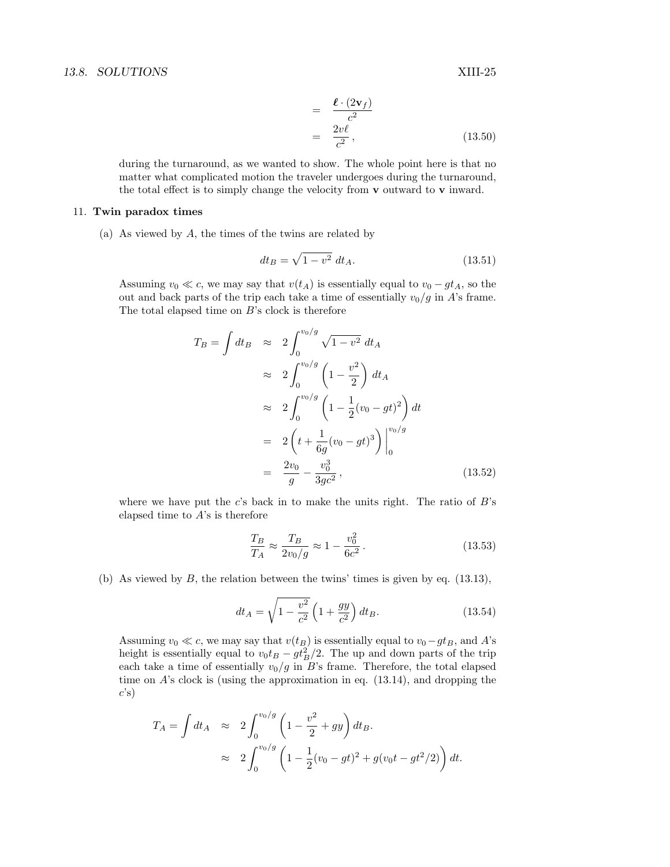$$
= \frac{\ell \cdot (2\mathbf{v}_f)}{c^2}
$$
  

$$
= \frac{2v\ell}{c^2},
$$
 (13.50)

during the turnaround, as we wanted to show. The whole point here is that no matter what complicated motion the traveler undergoes during the turnaround, the total effect is to simply change the velocity from  $\bf{v}$  outward to  $\bf{v}$  inward.

#### 11. Twin paradox times

(a) As viewed by A, the times of the twins are related by

$$
dt_B = \sqrt{1 - v^2} \, dt_A. \tag{13.51}
$$

Assuming  $v_0 \ll c$ , we may say that  $v(t_A)$  is essentially equal to  $v_0 - gt_A$ , so the out and back parts of the trip each take a time of essentially  $v_0/g$  in A's frame. The total elapsed time on  $B$ 's clock is therefore

$$
T_B = \int dt_B \approx 2 \int_0^{v_0/g} \sqrt{1 - v^2} dt_A
$$
  
\n
$$
\approx 2 \int_0^{v_0/g} \left(1 - \frac{v^2}{2}\right) dt_A
$$
  
\n
$$
\approx 2 \int_0^{v_0/g} \left(1 - \frac{1}{2}(v_0 - gt)^2\right) dt
$$
  
\n
$$
= 2 \left(t + \frac{1}{6g}(v_0 - gt)^3\right) \Big|_0^{v_0/g}
$$
  
\n
$$
= \frac{2v_0}{g} - \frac{v_0^3}{3gc^2}, \qquad (13.52)
$$

where we have put the c's back in to make the units right. The ratio of  $B$ 's elapsed time to  $A$ 's is therefore

$$
\frac{T_B}{T_A} \approx \frac{T_B}{2v_0/g} \approx 1 - \frac{v_0^2}{6c^2} \,. \tag{13.53}
$$

(b) As viewed by  $B$ , the relation between the twins' times is given by eq. (13.13),

$$
dt_A = \sqrt{1 - \frac{v^2}{c^2}} \left( 1 + \frac{gy}{c^2} \right) dt_B.
$$
 (13.54)

Assuming  $v_0 \ll c$ , we may say that  $v(t_B)$  is essentially equal to  $v_0 - gt_B$ , and A's height is essentially equal to  $v_0 t_B - g t_B^2/2$ . The up and down parts of the trip each take a time of essentially  $v_0/g$  in B's frame. Therefore, the total elapsed time on A's clock is (using the approximation in eq. (13.14), and dropping the  $c's)$ 

$$
T_A = \int dt_A \approx 2 \int_0^{v_0/g} \left( 1 - \frac{v^2}{2} + gy \right) dt_B.
$$
  
 
$$
\approx 2 \int_0^{v_0/g} \left( 1 - \frac{1}{2} (v_0 - gt)^2 + g(v_0 t - gt^2 / 2) \right) dt.
$$